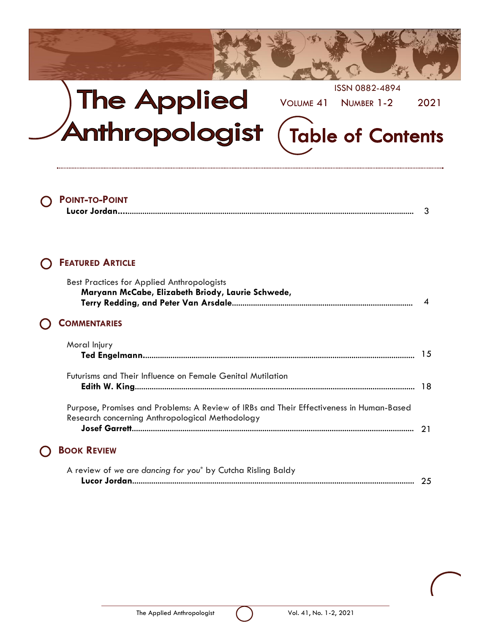

## ISSN 0882-4894 **The Applied** VOLUME 41 NUMBER 1-2 2021 Anthropologist **Table of Contents**

## **POINT-TO-POINT**

|--|--|

### **FEATURED ARTICLE**

 $\bigcap$ 

 $\bigcap$ 

| <b>Best Practices for Applied Anthropologists</b><br>Maryann McCabe, Elizabeth Briody, Laurie Schwede,                                     | $\boldsymbol{\Lambda}$ |
|--------------------------------------------------------------------------------------------------------------------------------------------|------------------------|
| <b>COMMENTARIES</b>                                                                                                                        |                        |
| Moral Injury                                                                                                                               | -15                    |
| Futurisms and Their Influence on Female Genital Mutilation                                                                                 |                        |
| Purpose, Promises and Problems: A Review of IRBs and Their Effectiveness in Human-Based<br>Research concerning Anthropological Methodology |                        |
| <b>BOOK REVIEW</b>                                                                                                                         |                        |
| A review of we are dancing for you* by Cutcha Risling Baldy                                                                                |                        |

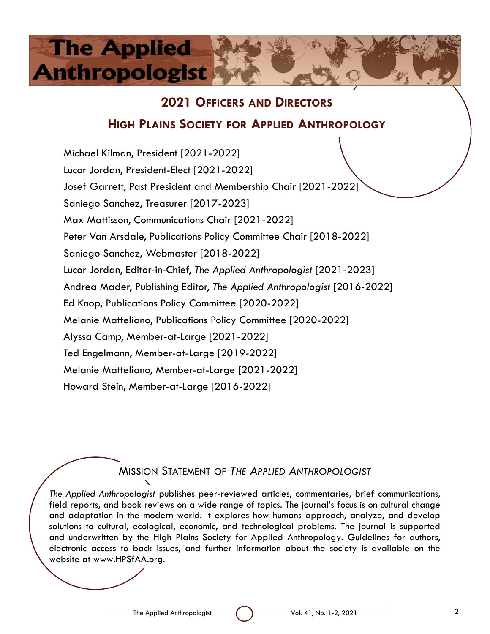## **2021 OFFICERS AND DIRECTORS**

## **HIGH PLAINS SOCIETY FOR APPLIED ANTHROPOLOGY**

Michael Kilman, President [2021-2022] Lucor Jordan, President-Elect [2021-2022] Josef Garrett, Past President and Membership Chair [2021-2022] Saniego Sanchez, Treasurer [2017-2023] Max Mattisson, Communications Chair [2021-2022] Peter Van Arsdale, Publications Policy Committee Chair [2018-2022] Saniego Sanchez, Webmaster [2018-2022] Lucor Jordan, Editor-in-Chief, *The Applied Anthropologist* [2021-2023] Andrea Mader, Publishing Editor, *The Applied Anthropologist* [2016-2022] Ed Knop, Publications Policy Committee [2020-2022] Melanie Matteliano, Publications Policy Committee [2020-2022] Alyssa Camp, Member-at-Large [2021-2022] Ted Engelmann, Member-at-Large [2019-2022] Melanie Matteliano, Member-at-Large [2021-2022] Howard Stein, Member-at-Large [2016-2022]

## MISSION STATEMENT OF *THE APPLIED ANTHROPOLOGIST*

*The Applied Anthropologist* publishes peer-reviewed articles, commentaries, brief communications, field reports, and book reviews on a wide range of topics. The journal's focus is on cultural change and adaptation in the modern world. It explores how humans approach, analyze, and develop solutions to cultural, ecological, economic, and technological problems. The journal is supported and underwritten by the High Plains Society for Applied Anthropology. Guidelines for authors, electronic access to back issues, and further information about the society is available on the website at www.HPSfAA.org.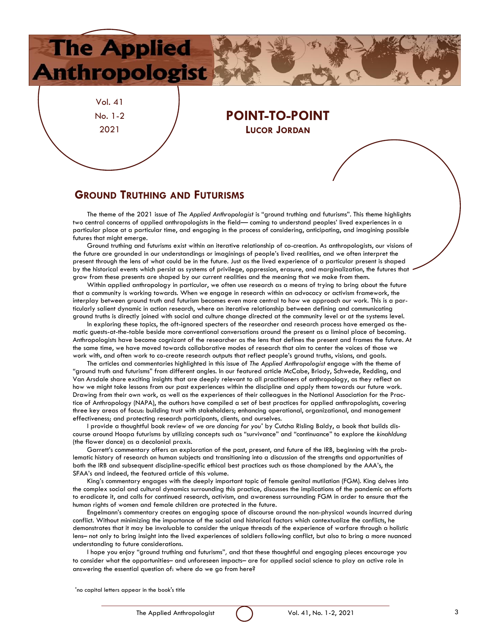Vol. 41 No. 1-2 2021

**The Applied** 

**Anthropologist** 

### **POINT-TO-POINT LUCOR JORDAN**

### **GROUND TRUTHING AND FUTURISMS**

The theme of the 2021 issue of *The Applied Anthropologist* is "ground truthing and futurisms". This theme highlights two central concerns of applied anthropologists in the field— coming to understand peoples' lived experiences in a particular place at a particular time, and engaging in the process of considering, anticipating, and imagining possible futures that might emerge.

Ground truthing and futurisms exist within an iterative relationship of co-creation. As anthropologists, our visions of the future are grounded in our understandings or imaginings of people's lived realities, and we often interpret the present through the lens of what could be in the future. Just as the lived experience of a particular present is shaped by the historical events which persist as systems of privilege, oppression, erasure, and marginalization, the futures that grow from these presents are shaped by our current realities and the meaning that we make from them.

Within applied anthropology in particular, we often use research as a means of trying to bring about the future that a community is working towards. When we engage in research within an advocacy or activism framework, the interplay between ground truth and futurism becomes even more central to how we approach our work. This is a particularly salient dynamic in action research, where an iterative relationship between defining and communicating ground truths is directly joined with social and culture change directed at the community level or at the systems level.

In exploring these topics, the oft-ignored specters of the researcher and research process have emerged as thematic guests-at-the-table beside more conventional conversations around the present as a liminal place of becoming. Anthropologists have become cognizant of the researcher as the lens that defines the present and frames the future. At the same time, we have moved towards collaborative modes of research that aim to center the voices of those we work with, and often work to co-create research outputs that reflect people's ground truths, visions, and goals.

The articles and commentaries highlighted in this issue of *The Applied Anthropologist* engage with the theme of "ground truth and futurisms" from different angles. In our featured article McCabe, Briody, Schwede, Redding, and Van Arsdale share exciting insights that are deeply relevant to all practitioners of anthropology, as they reflect on how we might take lessons from our past experiences within the discipline and apply them towards our future work. Drawing from their own work, as well as the experiences of their colleagues in the National Association for the Practice of Anthropology (NAPA), the authors have compiled a set of best practices for applied anthropologists, covering three key areas of focus: building trust with stakeholders; enhancing operational, organizational, and management effectiveness; and protecting research participants, clients, and ourselves.

I provide a thoughtful book review of *we are dancing for you\** by Cutcha Risling Baldy, a book that builds discourse around Hoopa futurisms by utilizing concepts such as "survivance" and "continuance" to explore the *kinahldung*  (the flower dance) as a decolonial praxis.

Garrett's commentary offers an exploration of the past, present, and future of the IRB, beginning with the problematic history of research on human subjects and transitioning into a discussion of the strengths and opportunities of both the IRB and subsequent discipline-specific ethical best practices such as those championed by the AAA's, the SFAA's and indeed, the featured article of this volume.

King's commentary engages with the deeply important topic of female genital mutilation (FGM). King delves into the complex social and cultural dynamics surrounding this practice, discusses the implications of the pandemic on efforts to eradicate it, and calls for continued research, activism, and awareness surrounding FGM in order to ensure that the human rights of women and female children are protected in the future.

Engelmann's commentary creates an engaging space of discourse around the non-physical wounds incurred during conflict. Without minimizing the importance of the social and historical factors which contextualize the conflicts, he demonstrates that it may be invaluable to consider the unique threads of the experience of warfare through a holistic lens– not only to bring insight into the lived experiences of soldiers following conflict, but also to bring a more nuanced understanding to future considerations.

I hope you enjoy "ground truthing and futurisms"*,* and that these thoughtful and engaging pieces encourage you to consider what the opportunities– and unforeseen impacts– are for applied social science to play an active role in answering the essential question of: where do we go from here?

\*no capital letters appear in the book's title

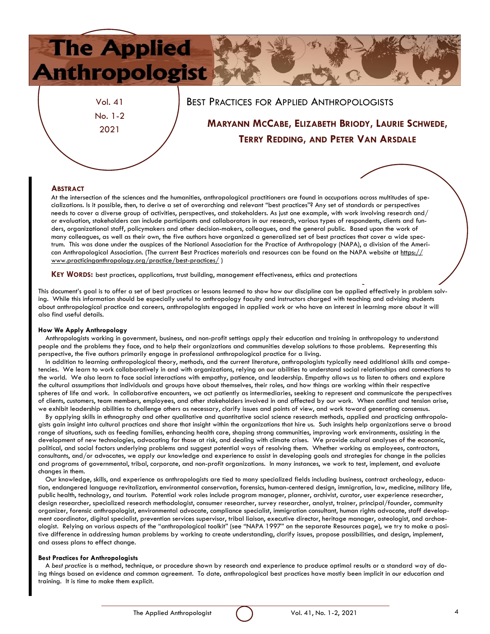

No. 1-2 2021

## **MARYANN MCCABE, ELIZABETH BRIODY, LAURIE SCHWEDE, TERRY REDDING, AND PETER VAN ARSDALE**

### **ABSTRACT**

At the intersection of the sciences and the humanities, anthropological practitioners are found in occupations across multitudes of specializations. Is it possible, then, to derive a set of overarching and relevant "best practices"? Any set of standards or perspectives needs to cover a diverse group of activities, perspectives, and stakeholders. As just one example, with work involving research and/ or evaluation, stakeholders can include participants and collaborators in our research, various types of respondents, clients and funders, organizational staff, policymakers and other decision-makers, colleagues, and the general public. Based upon the work of many colleagues, as well as their own, the five authors have organized a generalized set of best practices that cover a wide spectrum. This was done under the auspices of the National Association for the Practice of Anthropology (NAPA), a division of the American Anthropological Association. (The current Best Practices materials and resources can be found on the NAPA website at [https://](https://www.practicinganthropology.org/practice/best-practices/) [www.practicinganthropology.org/practice/best-practices/](https://www.practicinganthropology.org/practice/best-practices/) )

**KEY WORDS:** best practices, applications, trust building, management effectiveness, ethics and protections

This document's goal is to offer a set of best practices or lessons learned to show how our discipline can be applied effectively in problem solving. While this information should be especially useful to anthropology faculty and instructors charged with teaching and advising students about anthropological practice and careers, anthropologists engaged in applied work or who have an interest in learning more about it will also find useful details.

#### **How We Apply Anthropology**

Anthropologists working in government, business, and non-profit settings apply their education and training in anthropology to understand people and the problems they face, and to help their organizations and communities develop solutions to those problems. Representing this perspective, the five authors primarily engage in professional anthropological practice for a living.

In addition to learning anthropological theory, methods, and the current literature, anthropologists typically need additional skills and competencies. We learn to work collaboratively in and with organizations, relying on our abilities to understand social relationships and connections to the world. We also learn to face social interactions with empathy, patience, and leadership. Empathy allows us to listen to others and explore the cultural assumptions that individuals and groups have about themselves, their roles, and how things are working within their respective spheres of life and work. In collaborative encounters, we act patiently as intermediaries, seeking to represent and communicate the perspectives of clients, customers, team members, employees, and other stakeholders involved in and affected by our work. When conflict and tension arise, we exhibit leadership abilities to challenge others as necessary, clarify issues and points of view, and work toward generating consensus.

By applying skills in ethnography and other qualitative and quantitative social science research methods, applied and practicing anthropologists gain insight into cultural practices and share that insight within the organizations that hire us. Such insights help organizations serve a broad range of situations, such as feeding families, enhancing health care, shaping strong communities, improving work environments, assisting in the development of new technologies, advocating for those at risk, and dealing with climate crises. We provide cultural analyses of the economic, political, and social factors underlying problems and suggest potential ways of resolving them. Whether working as employees, contractors, consultants, and/or advocates, we apply our knowledge and experience to assist in developing goals and strategies for change in the policies and programs of governmental, tribal, corporate, and non-profit organizations. In many instances, we work to test, implement, and evaluate changes in them.

Our knowledge, skills, and experience as anthropologists are tied to many specialized fields including business, contract archeology, education, endangered language revitalization, environmental conservation, forensics, human-centered design, immigration, law, medicine, military life, public health, technology, and tourism. Potential work roles include program manager, planner, archivist, curator, user experience researcher, design researcher, specialized research methodologist, consumer researcher, survey researcher, analyst, trainer, principal/founder, community organizer, forensic anthropologist, environmental advocate, compliance specialist, immigration consultant, human rights advocate, staff development coordinator, digital specialist, prevention services supervisor, tribal liaison, executive director, heritage manager, osteologist, and archaeologist. Relying on various aspects of the "anthropological toolkit" (see "NAPA 1997" on the separate Resources page), we try to make a positive difference in addressing human problems by working to create understanding, clarify issues, propose possibilities, and design, implement, and assess plans to effect change.

#### **Best Practices for Anthropologists**

A *best practice* is a method, technique, or procedure shown by research and experience to produce optimal results or a standard way of doing things based on evidence and common agreement. To date, anthropological best practices have mostly been implicit in our education and training. It is time to make them explicit.

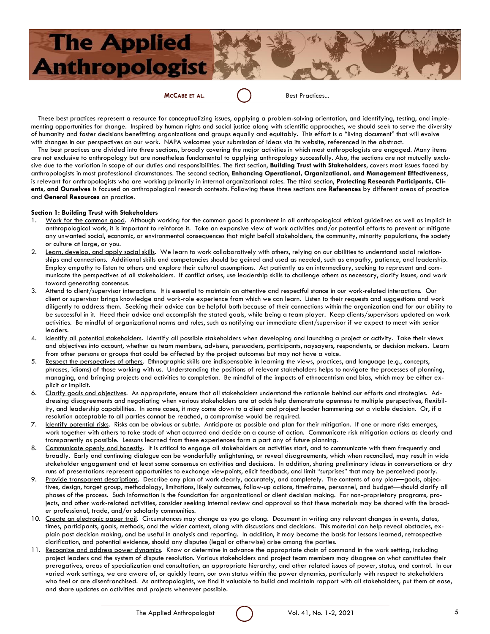

These best practices represent a resource for conceptualizing issues, applying a problem-solving orientation, and identifying, testing, and implementing opportunities for change. Inspired by human rights and social justice along with scientific approaches, we should seek to serve the diversity of humanity and foster decisions benefitting organizations and groups equally and equitably. This effort is a "living document" that will evolve with changes in our perspectives on our work. NAPA welcomes your submission of ideas via its website, referenced in the abstract.

The best practices are divided into three sections, broadly covering the major activities in which most anthropologists are engaged. Many items are not exclusive to anthropology but are nonetheless fundamental to applying anthropology successfully. Also, the sections are not mutually exclusive due to the variation in scope of our duties and responsibilities. The first section, **Building Trust with Stakeholders**, covers most issues faced by anthropologists in most professional circumstances. The second section, **Enhancing Operational, Organizational, and Management Effectiveness**, is relevant for anthropologists who are working primarily in internal organizational roles. The third section, **Protecting Research Participants, Clients, and Ourselves** is focused on anthropological research contexts. Following these three sections are **References** by different areas of practice and **General Resources** on practice.

#### **Section 1: Building Trust with Stakeholders**

- 1. Work for the common good. Although working for the common good is prominent in all anthropological ethical guidelines as well as implicit in anthropological work, it is important to reinforce it. Take an expansive view of work activities and/or potential efforts to prevent or mitigate any unwanted social, economic, or environmental consequences that might befall stakeholders, the community, minority populations, the society or culture at large, or you.
- 2. Learn, develop, and apply social skills. We learn to work collaboratively with others, relying on our abilities to understand social relationships and connections. Additional skills and competencies should be gained and used as needed, such as empathy, patience, and leadership. Employ empathy to listen to others and explore their cultural assumptions. Act patiently as an intermediary, seeking to represent and communicate the perspectives of all stakeholders. If conflict arises, use leadership skills to challenge others as necessary, clarify issues, and work toward generating consensus.
- 3. Attend to client/supervisor interactions. It is essential to maintain an attentive and respectful stance in our work-related interactions. Our client or supervisor brings knowledge and work-role experience from which we can learn. Listen to their requests and suggestions and work diligently to address them. Seeking their advice can be helpful both because of their connections within the organization and for our ability to be successful in it. Heed their advice and accomplish the stated goals, while being a team player. Keep clients/supervisors updated on work activities. Be mindful of organizational norms and rules, such as notifying our immediate client/supervisor if we expect to meet with senior leaders.
- 4. Identify all potential stakeholders. Identify all possible stakeholders when developing and launching a project or activity. Take their views and objectives into account, whether as team members, advisers, persuaders, participants, naysayers, respondents, or decision makers. Learn from other persons or groups that could be affected by the project outcomes but may not have a voice.
- 5. Respect the perspectives of others. Ethnographic skills are indispensable in learning the views, practices, and language (e.g., concepts, phrases*,* idioms) of those working with us. Understanding the positions of relevant stakeholders helps to navigate the processes of planning, managing, and bringing projects and activities to completion. Be mindful of the impacts of ethnocentrism and bias, which may be either explicit or implicit.
- 6. Clarify goals and objectives. As appropriate, ensure that all stakeholders understand the rationale behind our efforts and strategies. Addressing disagreements and negotiating when various stakeholders are at odds help demonstrate openness to multiple perspectives, flexibility, and leadership capabilities. In some cases, it may come down to a client and project leader hammering out a viable decision. Or, if a resolution acceptable to all parties cannot be reached, a compromise would be required.
- 7. Identify potential risks. Risks can be obvious or subtle. Anticipate as possible and plan for their mitigation. If one or more risks emerges, work together with others to take stock of what occurred and decide on a course of action. Communicate risk mitigation actions as clearly and transparently as possible. Lessons learned from these experiences form a part any of future planning.
- 8. Communicate openly and honestly. It is critical to engage all stakeholders as activities start, and to communicate with them frequently and broadly. Early and continuing dialogue can be wonderfully enlightening, or reveal disagreements, which when reconciled, may result in wide stakeholder engagement and at least some consensus on activities and decisions. In addition, sharing preliminary ideas in conversations or dry runs of presentations represent opportunities to exchange viewpoints, elicit feedback, and limit "surprises" that may be perceived poorly.
- 9. Provide transparent descriptions. Describe any plan of work clearly, accurately, and completely. The contents of any plan—goals, objectives, design, target group, methodology, limitations, likely outcomes, follow-up actions, timeframe, personnel, and budget—should clarify all phases of the process. Such information is the foundation for organizational or client decision making. For non-proprietary programs, projects, and other work-related activities, consider seeking internal review and approval so that these materials may be shared with the broader professional, trade, and/or scholarly communities.
- 10. Create an electronic paper trail. Circumstances may change as you go along. Document in writing any relevant changes in events, dates, times, participants, goals, methods, and the wider context, along with discussions and decisions. This material can help reveal obstacles, explain past decision making, and be useful in analysis and reporting. In addition, it may become the basis for lessons learned, retrospective clarification, and potential evidence, should any disputes (legal or otherwise) arise among the parties.
- 11. Recognize and address power dynamics. Know or determine in advance the appropriate chain of command in the work setting, including project leaders and the system of dispute resolution. Various stakeholders and project team members may disagree on what constitutes their prerogatives, areas of specialization and consultation, an appropriate hierarchy, and other related issues of power, status, and control. In our varied work settings, we are aware of, or quickly learn, our own status within the power dynamics, particularly with respect to stakeholders who feel or are disenfranchised. As anthropologists, we find it valuable to build and maintain rapport with all stakeholders, put them at ease, and share updates on activities and projects whenever possible.

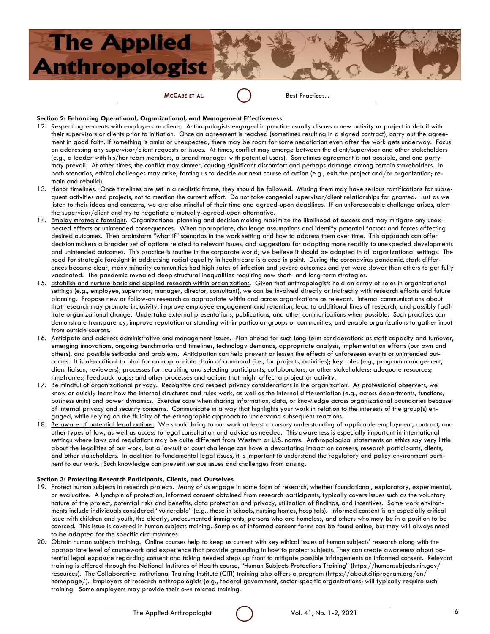### **MCCABE ET AL.** Best Practices...

#### **Section 2: Enhancing Operational, Organizational, and Management Effectiveness**

- 12. Respect agreements with employers or clients. Anthropologists engaged in practice usually discuss a new activity or project in detail with their supervisors or clients prior to initiation. Once an agreement is reached (sometimes resulting in a signed contract), carry out the agreement in good faith. If something is amiss or unexpected, there may be room for some negotiation even after the work gets underway. Focus on addressing any supervisor/client requests or issues. At times, conflict may emerge between the client/supervisor and other stakeholders (e.g., a leader with his/her team members, a brand manager with potential users). Sometimes agreement is not possible, and one party may prevail. At other times, the conflict may simmer, causing significant discomfort and perhaps damage among certain stakeholders. In both scenarios, ethical challenges may arise, forcing us to decide our next course of action (e.g., exit the project and/or organization; remain and rebuild).
- 13. Honor timelines. Once timelines are set in a realistic frame, they should be followed. Missing them may have serious ramifications for subsequent activities and projects, not to mention the current effort. Do not take congenial supervisor/client relationships for granted. Just as we listen to their ideas and concerns, we are also mindful of their time and agreed-upon deadlines. If an unforeseeable challenge arises, alert the supervisor/client and try to negotiate a mutually-agreed-upon alternative.
- 14. Employ strategic foresight. Organizational planning and decision making maximize the likelihood of success and may mitigate any unexpected effects or unintended consequences. When appropriate, challenge assumptions and identify potential factors and forces affecting desired outcomes. Then brainstorm "what if" scenarios in the work setting and how to address them over time. This approach can offer decision makers a broader set of options related to relevant issues, and suggestions for adapting more readily to unexpected developments and unintended outcomes. This practice is routine in the corporate world; we believe it should be adopted in all organizational settings. The need for strategic foresight in addressing racial equality in health care is a case in point. During the coronavirus pandemic, stark differences became clear; many minority communities had high rates of infection and severe outcomes and yet were slower than others to get fully vaccinated. The pandemic revealed deep structural inequalities requiring new short- and long-term strategies.
- 15. Establish and nurture basic and applied research within organizations. Given that anthropologists hold an array of roles in organizational settings (e.g., employee, supervisor, manager, director, consultant), we can be involved directly or indirectly with research efforts and future planning. Propose new or follow-on research as appropriate within and across organizations as relevant. Internal communications about that research may promote inclusivity, improve employee engagement and retention, lead to additional lines of research, and possibly facilitate organizational change. Undertake external presentations, publications, and other communications when possible. Such practices can demonstrate transparency, improve reputation or standing within particular groups or communities, and enable organizations to gather input from outside sources.
- 16. Anticipate and address administrative and management issues. Plan ahead for such long-term considerations as staff capacity and turnover, emerging innovations, ongoing benchmarks and timelines, technology demands, appropriate analysis, implementation efforts (our own and others), and possible setbacks and problems. Anticipation can help prevent or lessen the effects of unforeseen events or unintended outcomes. It is also critical to plan for an appropriate chain of command (i.e., for projects, activities); key roles (e.g., program management, client liaison, reviewers); processes for recruiting and selecting participants, collaborators, or other stakeholders; adequate resources; timeframes; feedback loops; and other processes and actions that might affect a project or activity.
- 17. Be mindful of organizational privacy. Recognize and respect privacy considerations in the organization. As professional observers, we know or quickly learn how the internal structures and rules work, as well as the internal differentiation (e.g., across departments, functions, business units) and power dynamics. Exercise care when sharing information, data, or knowledge across organizational boundaries because of internal privacy and security concerns. Communicate in a way that highlights your work in relation to the interests of the group(s) engaged, while relying on the fluidity of the ethnographic approach to understand subsequent reactions.
- 18. Be aware of potential legal actions. We should bring to our work at least a cursory understanding of applicable employment, contract, and other types of law, as well as access to legal consultation and advice as needed. This awareness is especially important in international settings where laws and regulations may be quite different from Western or U.S. norms. Anthropological statements on ethics say very little about the legalities of our work, but a lawsuit or court challenge can have a devastating impact on careers, research participants, clients, and other stakeholders. In addition to fundamental legal issues, it is important to understand the regulatory and policy environment pertinent to our work. Such knowledge can prevent serious issues and challenges from arising.

#### **Section 3: Protecting Research Participants, Clients, and Ourselves**

- 19. Protect human subjects in research projects. Many of us engage in some form of research, whether foundational, exploratory, experimental, or evaluative. A lynchpin of protection, informed consent obtained from research participants, typically covers issues such as the voluntary nature of the project, potential risks and benefits, data protection and privacy, utilization of findings, and incentives. Some work environments include individuals considered "vulnerable" (e.g., those in schools, nursing homes, hospitals). Informed consent is an especially critical issue with children and youth, the elderly, undocumented immigrants, persons who are homeless, and others who may be in a position to be coerced. This issue is covered in human subjects training. Samples of informed consent forms can be found online, but they will always need to be adapted for the specific circumstances.
- 20. Obtain human subjects training. Online courses help to keep us current with key ethical issues of human subjects' research along with the appropriate level of coursework and experience that provide grounding in how to protect subjects. They can create awareness about potential legal exposure regarding consent and taking needed steps up front to mitigate possible infringements on informed consent. Relevant training is offered through the National Institutes of Health course, "Human Subjects Protections Training" ([https://humansub](https://humansubjects.nih.gov/resources)jects.nih.gov/ [resources\).](https://humansubjects.nih.gov/resources) The Collaborative Institutional Training Institute (CITI) training also offers a program ([https://about.citiprogram.org/en/](https://about.citiprogram.org/en/homepage/) [homepage/\).](https://about.citiprogram.org/en/homepage/) Employers of research anthropologists (e.g., federal government, sector-specific organizations) will typically require such training. Some employers may provide their own related training.

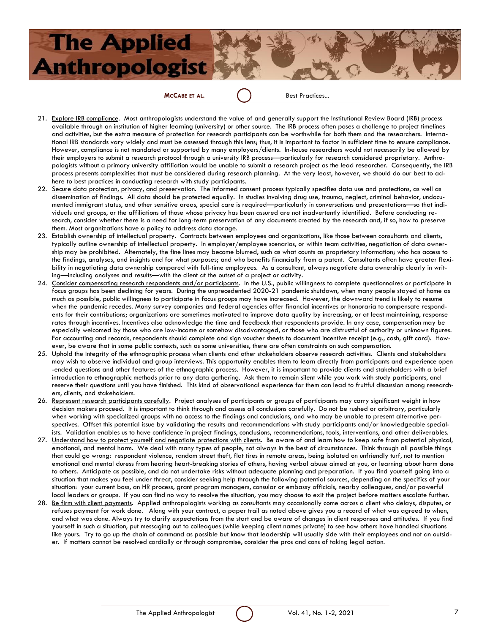### **MCCABE ET AL.** Best Practices...

- 21. Explore IRB compliance. Most anthropologists understand the value of and generally support the Institutional Review Board (IRB) process available through an institution of higher learning (university) or other source. The IRB process often poses a challenge to project timelines and activities, but the extra measure of protection for research participants can be worthwhile for both them and the researchers. International IRB standards vary widely and must be assessed through this lens; thus, it is important to factor in sufficient time to ensure compliance. However, compliance is not mandated or supported by many employers/clients. In-house researchers would not necessarily be allowed by their employers to submit a research protocol through a university IRB process—particularly for research considered proprietary. Anthropologists without a primary university affiliation would be unable to submit a research project as the lead researcher. Consequently, the IRB process presents complexities that must be considered during research planning. At the very least, however, we should do our best to adhere to best practices in conducting research with study participants.
- 22. Secure data protection, privacy, and preservation. The informed consent process typically specifies data use and protections, as well as dissemination of findings. All data should be protected equally. In studies involving drug use, trauma, neglect, criminal behavior, undocumented immigrant status, and other sensitive areas, special care is required—particularly in conversations and presentations—so that individuals and groups, or the affiliations of those whose privacy has been assured are not inadvertently identified. Before conducting research, consider whether there is a need for long-term preservation of any documents created by the research and, if so, how to preserve them. Most organizations have a policy to address data storage.
- 23. Establish ownership of intellectual property. Contracts between employees and organizations, like those between consultants and clients, typically outline ownership of intellectual property. In employer/employee scenarios, or within team activities, negotiation of data ownership may be prohibited. Alternately, the fine lines may become blurred, such as what counts as proprietary information; who has access to the findings, analyses, and insights and for what purposes; and who benefits financially from a patent. Consultants often have greater flexibility in negotiating data ownership compared with full-time employees. As a consultant, always negotiate data ownership clearly in writing—including analyses and results—with the client at the outset of a project or activity.
- 24. Consider compensating research respondents and/or participants. In the U.S., public willingness to complete questionnaires or participate in focus groups has been declining for years. During the unprecedented 2020-21 pandemic shutdown, when many people stayed at home as much as possible, public willingness to participate in focus groups may have increased. However, the downward trend is likely to resume when the pandemic recedes. Many survey companies and federal agencies offer financial incentives or honoraria to compensate respondents for their contributions; organizations are sometimes motivated to improve data quality by increasing, or at least maintaining, response rates through incentives. Incentives also acknowledge the time and feedback that respondents provide. In any case, compensation may be especially welcomed by those who are low-income or somehow disadvantaged, or those who are distrustful of authority or unknown figures. For accounting and records, respondents should complete and sign voucher sheets to document incentive receipt (e.g., cash, gift card). However, be aware that in some public contexts, such as some universities, there are often constraints on such compensation.
- 25. Uphold the integrity of the ethnographic process when clients and other stakeholders observe research activities. Clients and stakeholders may wish to observe individual and group interviews. This opportunity enables them to learn directly from participants and experience open -ended questions and other features of the ethnographic process. However, it is important to provide clients and stakeholders with a brief introduction to ethnographic methods prior to any data gathering. Ask them to remain silent while you work with study participants, and reserve their questions until you have finished. This kind of observational experience for them can lead to fruitful discussion among researchers, clients, and stakeholders.
- 26. Represent research participants carefully. Project analyses of participants or groups of participants may carry significant weight in how decision makers proceed. It is important to think through and assess all conclusions carefully. Do not be rushed or arbitrary, particularly when working with specialized groups with no access to the findings and conclusions, and who may be unable to present alternative perspectives. Offset this potential issue by validating the results and recommendations with study participants and/or knowledgeable specialists. Validation enables us to have confidence in project findings, conclusions, recommendations, tools, interventions, and other deliverables.
- 27. Understand how to protect yourself and negotiate protections with clients. Be aware of and learn how to keep safe from potential physical, emotional, and mental harm. We deal with many types of people, not always in the best of circumstances. Think through all possible things that could go wrong: respondent violence, random street theft, flat tires in remote areas, being isolated on unfriendly turf, not to mention emotional and mental duress from hearing heart-breaking stories of others, having verbal abuse aimed at you, or learning about harm done to others. Anticipate as possible, and do not undertake risks without adequate planning and preparation. If you find yourself going into a situation that makes you feel under threat, consider seeking help through the following potential sources, depending on the specifics of your situation: your current boss, an HR process, grant program managers, consular or embassy officials, nearby colleagues, and/or powerful local leaders or groups. If you can find no way to resolve the situation, you may choose to exit the project before matters escalate further.
- 28. Be firm with client payments. Applied anthropologists working as consultants may occasionally come across a client who delays, disputes, or refuses payment for work done. Along with your contract, a paper trail as noted above gives you a record of what was agreed to when, and what was done. Always try to clarify expectations from the start and be aware of changes in client responses and attitudes. If you find yourself in such a situation, put messaging out to colleagues (while keeping client names private) to see how others have handled situations like yours. Try to go up the chain of command as possible but know that leadership will usually side with their employees and not an outsider. If matters cannot be resolved cordially or through compromise, consider the pros and cons of taking legal action.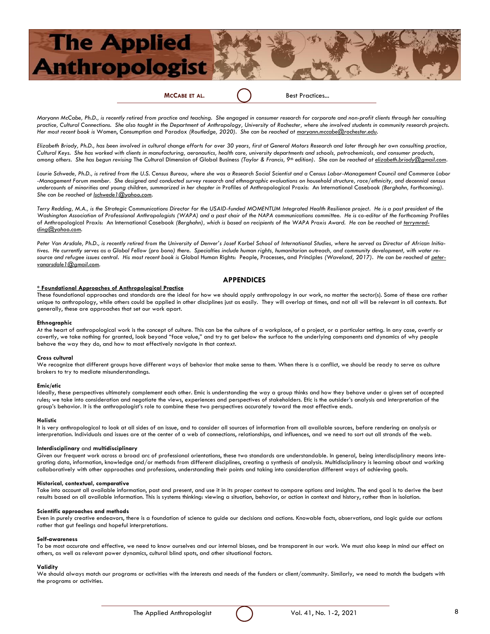**MCCABE ET AL.** Best Practices...

*Maryann McCabe, Ph.D., is recently retired from practice and teaching. She engaged in consumer research for corporate and non-profit clients through her consulting practice, Cultural Connections. She also taught in the Department of Anthropology, University of Rochester, where she involved students in community research projects. Her most recent book is* Women, Consumption and Paradox *(Routledge, 2020). She can be reached at [maryann.mccabe@rochester.edu.](mailto:maryann.mccabe@rochester.edu)*

*Elizabeth Briody, Ph.D., has been involved in cultural change efforts for over 30 years, first at General Motors Research and later through her own consulting practice, Cultural Keys. She has worked with clients in manufacturing, aeronautics, health care, university departments and schools, petrochemicals, and consumer products, among others. She has begun revising* The Cultural Dimension of Global Business *(Taylor & Francis, 9th edition). She can be reached at [elizabeth.briody@gmail.com.](mailto:elizabeth.briody@gmail.com)*

*Laurie Schwede, Ph.D., is retired from the U.S. Census Bureau, where she was a Research Social Scientist and a Census Labor-Management Council and Commerce Labor -Management Forum member. She designed and conducted survey research and ethnographic evaluations on household structure, race/ethnicity, and decennial census undercounts of minorities and young children, summarized in her chapter in* Profiles of Anthropological Praxis: An International Casebook *(Berghahn, forthcoming). She can be reached at [lschwede1@yahoo.com.](mailto:lschwede1@yahoo.com)*

Terry Redding, M.A., is the Strategic Communications Director for the USAID-funded MOMENTUM Integrated Health Resilience project. He is a past president of the Washington Association of Professional Anthropologists (WAPA) and a past chair of the NAPA communications committee. He is co-editor of the forthcoming Profiles of Anthropological Praxis: An International Casebook (Berghahn), which is based on recipients of the WAPA Praxis Award. He can be reached at *terrymred[ding@yahoo.com.](mailto:terrymredding@yahoo.com)*

*Peter Van Arsdale, Ph.D., is recently retired from the University of Denver's Josef Korbel School of International Studies, where he served as Director of African Initiatives. He currently serves as a Global Fellow (pro bono) there. Specialties include human rights, humanitarian outreach, and community development, with water resource and refugee issues central. His most recent book is* Global Human Rights: People, Processes, and Principles *(Waveland, 2017). He can be reached at [peter](mailto:petervanarsdale1@gmail.com)[vanarsdale1@gmail.com.](mailto:petervanarsdale1@gmail.com)* 

#### **APPENDICES**

#### **\* Foundational Approaches of Anthropological Practice**

These foundational approaches and standards are the ideal for how we should apply anthropology in our work, no matter the sector(s). Some of these are rather unique to anthropology, while others could be applied in other disciplines just as easily. They will overlap at times, and not all will be relevant in all contexts. But generally, these are approaches that set our work apart.

#### **Ethnographic**

At the heart of anthropological work is the concept of culture. This can be the culture of a workplace, of a project, or a particular setting. In any case, overtly or covertly, we take nothing for granted, look beyond "face value," and try to get below the surface to the underlying components and dynamics of why people behave the way they do, and how to most effectively navigate in that context.

#### **Cross cultural**

We recognize that different groups have different ways of behavior that make sense to them. When there is a conflict, we should be ready to serve as culture brokers to try to mediate misunderstandings.

#### **Emic/etic**

Ideally, these perspectives ultimately complement each other. Emic is understanding the way a group thinks and how they behave under a given set of accepted rules; we take into consideration and negotiate the views, experiences and perspectives of stakeholders. Etic is the outsider's analysis and interpretation of the group's behavior. It is the anthropologist's role to combine these two perspectives accurately toward the most effective ends.

#### **Holistic**

It is very anthropological to look at all sides of an issue, and to consider all sources of information from all available sources, before rendering an analysis or interpretation. Individuals and issues are at the center of a web of connections, relationships, and influences, and we need to sort out all strands of the web.

#### **Interdisciplinary** and **multidisciplinary**

Given our frequent work across a broad arc of professional orientations, these two standards are understandable. In general, being interdisciplinary means integrating data, information, knowledge and/or methods from different disciplines, creating a synthesis of analysis. Multidisciplinary is learning about and working collaboratively with other approaches and professions, understanding their points and taking into consideration different ways of achieving goals.

#### **Historical, contextual, comparative**

Take into account all available information, past and present, and use it in its proper context to compare options and insights. The end goal is to derive the best results based on all available information. This is systems thinking: viewing a situation, behavior, or action in context and history, rather than in isolation.

#### **Scientific approaches and methods**

Even in purely creative endeavors, there is a foundation of science to guide our decisions and actions. Knowable facts, observations, and logic guide our actions rather that gut feelings and hopeful interpretations.

#### **Self-awareness**

To be most accurate and effective, we need to know ourselves and our internal biases, and be transparent in our work. We must also keep in mind our effect on others, as well as relevant power dynamics, cultural blind spots, and other situational factors.

#### **Validity**

We should always match our programs or activities with the interests and needs of the funders or client/community. Similarly, we need to match the budgets with the programs or activities.

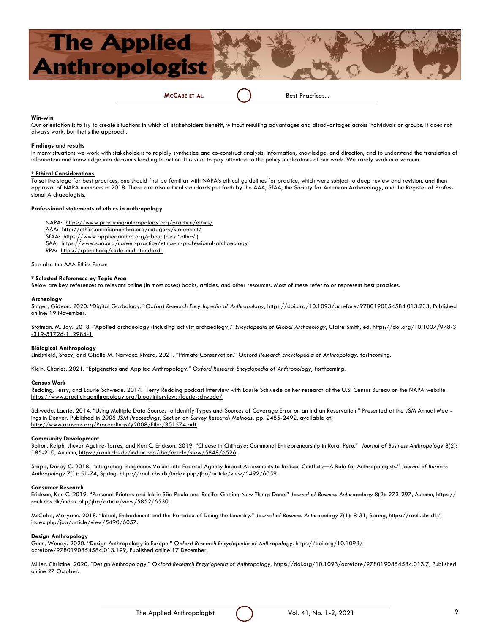

#### **Win-win**

Our orientation is to try to create situations in which all stakeholders benefit, without resulting advantages and disadvantages across individuals or groups. It does not always work, but that's the approach.

#### **Findings** and **results**

In many situations we work with stakeholders to rapidly synthesize and co-construct analysis, information, knowledge, and direction, and to understand the translation of information and knowledge into decisions leading to action. It is vital to pay attention to the policy implications of our work. We rarely work in a vacuum.

#### **\* Ethical Considerations**

To set the stage for best practices, one should first be familiar with NAPA's ethical guidelines for practice, which were subject to deep review and revision, and then approval of NAPA members in 2018. There are also ethical standards put forth by the AAA, SfAA, the Society for American Archaeology, and the Register of Professional Archaeologists.

#### **Professional statements of ethics in anthropology**

NAPA: <https://www.practicinganthropology.org/practice/ethics/>

- AAA: <http://ethics.americananthro.org/category/statement/>
- SfAA: <https://www.appliedanthro.org/about> (click "ethics")
- SAA: <https://www.saa.org/career-practice/ethics-in-professional-archaeology>
- RPA: <https://rpanet.org/code-and-standards>

See also the AAA Ethics Forum

#### **\* Selected References by Topic Area**

Below are key references to relevant online (in most cases) books, articles, and other resources. Most of these refer to or represent best practices.

#### **Archeology**

Singer, Gideon. 2020. "Digital Garbology." Oxford Research Encyclopedia of Anthropology, [https://doi.org/10.1093/acrefore/9780190854584.013.233,](https://doi.org/10.1093/acrefore/9780190854584.013.233) Published online: 19 November.

Stotman, M. Jay. 2018. "Applied archaeology (including activist archaeology)." *Encyclopedia of Global Archaeology*, Claire Smith, ed. [https://doi.org/10.1007/978-3](https://urldefense.proofpoint.com/v2/url?u=https-3A__doi.org_10.1007_978-2D3-2D319-2D51726-2D1-5F2984-2D1&d=DwMFAg&c=kbmfwr1Yojg42sGEpaQh5ofMHBeTl9EI2eaqQZhHbOU&r=k6RjcbnjP_qJ0ZueC2kYu-Kyai-azFgp5ALenNqM6vY&m=_XHL-e-UUGPMMrKxzbYa-aoHyPZluU-qqaDc6_kCbbY&s=6ee5) [-319-51726-1\\_2984-1](https://urldefense.proofpoint.com/v2/url?u=https-3A__doi.org_10.1007_978-2D3-2D319-2D51726-2D1-5F2984-2D1&d=DwMFAg&c=kbmfwr1Yojg42sGEpaQh5ofMHBeTl9EI2eaqQZhHbOU&r=k6RjcbnjP_qJ0ZueC2kYu-Kyai-azFgp5ALenNqM6vY&m=_XHL-e-UUGPMMrKxzbYa-aoHyPZluU-qqaDc6_kCbbY&s=6ee5)

#### **Biological Anthropology**

Lindshield, Stacy, and Giselle M. Narváez Rivera. 2021. "Primate Conservation." *Oxford Research Encyclopedia of Anthropology,* forthcoming.

Klein, Charles. 2021. "Epigenetics and Applied Anthropology." *Oxford Research Encyclopedia of Anthropology,* forthcoming.

#### **Census Work**

Redding, Terry, and Laurie Schwede. 2014. Terry Redding podcast interview with Laurie Schwede on her research at the U.S. Census Bureau on the NAPA website. <https://www.practicinganthropology.org/blog/interviews/laurie-schwede/>

Schwede, Laurie. 2014. "Using Multiple Data Sources to Identify Types and Sources of Coverage Error on an Indian Reservation." Presented at the JSM Annual Meetings in Denver. Published in 2008 JSM Proceedings, Section on Survey Research Methods, pp. 2485-2492, available at: <http://www.asasrms.org/Proceedings/y2008/Files/301574.pdf>

#### **Community Development**

Bolton, Ralph, Jhuver Aguirre-Torres, and Ken C. Erickson. 2019. "Cheese in Chijnaya: Communal Entrepreneurship in Rural Peru." *Journal of Business Anthropology* 8(2): 185-210, Autumn, [https://rauli.cbs.dk/index.php/jba/article/view/5848/6526.](https://rauli.cbs.dk/index.php/jba/article/view/5848/6526)

Stapp, Darby C. 2018. "Integrating Indigenous Values into Federal Agency Impact Assessments to Reduce Conflicts—A Role for Anthropologists." *Journal of Business Anthropology* 7(1): 51-74, Spring, [https://rauli.cbs.dk/index.php/jba/article/view/5492/6059.](https://rauli.cbs.dk/index.php/jba/article/view/5492/6059)

#### **Consumer Research**

Erickson, Ken C. 2019. "Personal Printers and Ink in São Paulo and Recife: Getting New Things Done." *Journal of Business Anthropology* 8(2): 273-297, Autumn, [https://](https://rauli.cbs.dk/index.php/jba/article/view/5852/6530) [rauli.cbs.dk/index.php/jba/article/view/5852/6530.](https://rauli.cbs.dk/index.php/jba/article/view/5852/6530)

McCabe, Maryann. 2018. "Ritual, Embodiment and the Paradox of Doing the Laundry." *Journal of Business Anthropology* 7(1): 8-31, Spring, [https://rauli.cbs.dk/](https://rauli.cbs.dk/index.php/jba/article/view/5490/6057) [index.php/jba/article/view/5490/6057.](https://rauli.cbs.dk/index.php/jba/article/view/5490/6057)

#### **Design Anthropology**

Gunn, Wendy. 2020. "Design Anthropology in Europe." *Oxford Research Encyclopedia of Anthropology.* [https://doi.org/10.1093/](https://doi.org/10.1093/acrefore/9780190854584.013.199) [acrefore/9780190854584.013.199,](https://doi.org/10.1093/acrefore/9780190854584.013.199) Published online 17 December.

Miller, Christine. 2020. "Design Anthropology." *Oxford Research Encyclopedia of Anthropology,* [https://doi.org/10.1093/acrefore/9780190854584.013.7,](https://doi.org/10.1093/acrefore/9780190854584.013.7) Published online 27 October.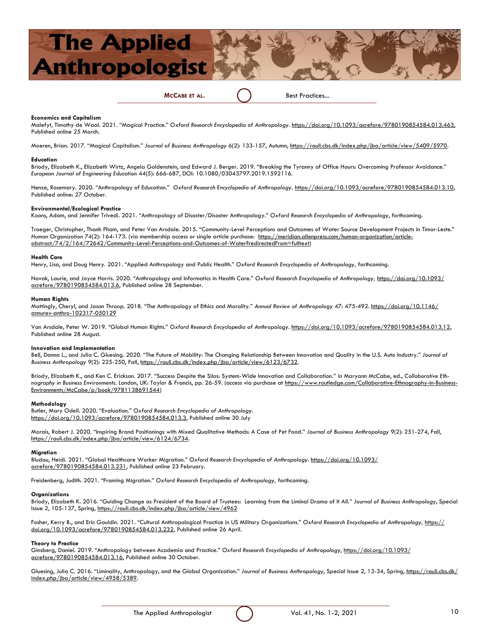

#### **Economics and Capitalism**

Malefyt, Timothy de Waal. 2021. "Magical Practice." *Oxford Research Encyclopedia of Anthropology.* [https://doi.org/10.1093/acrefore/9780190854584.013.463,](https://doi.org/10.1093/acrefore/9780190854584.013.463) Published online 25 March.

Moeren, Brian. 2017. "Magical Capitalism." *Journal of Business Anthropology* 6(2): 133-157, Autumn, [https://rauli.cbs.dk/index.php/jba/article/view/5409/5970.](https://rauli.cbs.dk/index.php/jba/article/view/5409/5970)

#### **Education**

Briody, Elizabeth K., Elizabeth Wirtz, Angela Goldenstein, and Edward J. Berger. 2019. "Breaking the Tyranny of Office Hours: Overcoming Professor Avoidance." *European Journal of Engineering Education* 44(5): 666-687, DOI: 10.1080/03043797.2019.1592116.

Henze, Rosemary. 2020. "Anthropology of Education." *Oxford Research Encyclopedia of Anthropology,* [https://doi.org/10.1093/acrefore/9780190854584.013.10,](https://doi.org/10.1093/acrefore/9780190854584.013.10)  Published online: 27 October.

#### **Environmental/Ecological Practice**

Koons, Adam, and Jennifer Trivedi. 2021. "Anthropology of Disaster/Disaster Anthropology." *Oxford Research Encyclopedia of Anthropology*, forthcoming.

Troeger, Christopher, Thanh Pham, and Peter Van Arsdale. 2015. "Community-Level Perceptions and Outcomes of Water Source Development Projects in Timor-Leste." *Human Organization* 74(2): 164-173. (via membership access or single article purchase: [https://meridian.allenpress.com/human-organization/article](https://meridian.allenpress.com/human-organization/article-abstract/74/2/164/72642/Community-Level-Perceptions-and-Outcomes-of-Water?redirectedFrom=fulltext)[abstract/74/2/164/72642/Community-Level-Perceptions-and-Outcomes-of-Water?redirectedFrom=fulltext\)](https://meridian.allenpress.com/human-organization/article-abstract/74/2/164/72642/Community-Level-Perceptions-and-Outcomes-of-Water?redirectedFrom=fulltext) 

#### **Health Care**

Henry, Lisa, and Doug Henry. 2021. "Applied Anthropology and Public Health." *Oxford Research Encyclopedia of Anthropology,* forthcoming.

Novak, Laurie, and Joyce Harris. 2020. "Anthropology and Informatics in Health Care." *Oxford Research Encyclopedia of Anthropology,* [https://doi.org/10.1093/](https://doi.org/10.1093/acrefore/9780190854584.013.6) [acrefore/9780190854584.013.6,](https://doi.org/10.1093/acrefore/9780190854584.013.6) Published online 28 September.

#### **Human Rights**

Mattingly, Cheryl, and Jason Throop. 2018. "The Anthropology of Ethics and Morality." *Annual Review of Anthropology* 47: 475-492. [https://doi.org/10.1146/](https://urldefense.proofpoint.com/v2/url?u=https-3A__doi.org_10.1146_annurev-2Danthro-2D102317-2D050129&d=DwMFaQ&c=kbmfwr1Yojg42sGEpaQh5ofMHBeTl9EI2eaqQZhHbOU&r=k6RjcbnjP_qJ0ZueC2kYu-Kyai-azFgp5ALenNqM6vY&m=fisOzZcAFUdLiUwyuM-HQJBUuR3Er-jKLJdqgw1iQ9I&s=BcooHR) [annurev-anthro-102317-050129](https://urldefense.proofpoint.com/v2/url?u=https-3A__doi.org_10.1146_annurev-2Danthro-2D102317-2D050129&d=DwMFaQ&c=kbmfwr1Yojg42sGEpaQh5ofMHBeTl9EI2eaqQZhHbOU&r=k6RjcbnjP_qJ0ZueC2kYu-Kyai-azFgp5ALenNqM6vY&m=fisOzZcAFUdLiUwyuM-HQJBUuR3Er-jKLJdqgw1iQ9I&s=BcooHR)

Van Arsdale, Peter W. 2019. "Global Human Rights." Oxford Research Encyclopedia of Anthropology. [https://doi.org/10.1093/acrefore/9780190854584.013.12,](https://doi.org/10.1093/acrefore/9780190854584.013.12) Published online 28 August.

#### **Innovation and Implementation**

Bell, Donna L., and Julia C. Gluesing. 2020. "The Future of Mobility: The Changing Relationship Between Innovation and Quality in the U.S. Auto Industry." *Journal of Business Anthropology* 9(2): 225-250, Fall, [https://rauli.cbs.dk/index.php/jba/article/view/6123/6732.](https://rauli.cbs.dk/index.php/jba/article/view/6123/6732)

Briody, Elizabeth K., and Ken C. Erickson. 2017. "Success Despite the Silos: System-Wide Innovation and Collaboration." *In* Maryann McCabe, ed., *Collaborative Ethnography in Business Environments*. London, UK: Taylor & Francis, pp. 26-59. (access via purchase at [https://www.routledge.com/Collaborative-Ethnography-in-Business-](https://www.routledge.com/Collaborative-Ethnography-in-Business-Environments/McCabe/p/book/9781138691544)[Environments/McCabe/p/book/9781138691544\)](https://www.routledge.com/Collaborative-Ethnography-in-Business-Environments/McCabe/p/book/9781138691544) 

#### **Methodology**

Butler, Mary Odell. 2020. "Evaluation." *Oxford Research Encyclopedia of Anthropology.* [https://doi.org/10.1093/acrefore/9780190854584.013.3,](https://doi.org/10.1093/acrefore/9780190854584.013.3) Published online 30 July

Morais, Robert J. 2020. "Inspiring Brand Positionings with Mixed Qualitative Methods: A Case of Pet Food." *Journal of Business Anthropology* 9(2): 251-274, Fall, [https://rauli.cbs.dk/index.php/jba/article/view/6124/6734.](https://rauli.cbs.dk/index.php/jba/article/view/6124/6734)

#### **Migration**

Bludau, Heidi. 2021. "Global Healthcare Worker Migration." *Oxford Research Encyclopedia of Anthropology.* [https://doi.org/10.1093/](https://doi.org/10.1093/acrefore/9780190854584.013.231) [acrefore/9780190854584.013.231,](https://doi.org/10.1093/acrefore/9780190854584.013.231) Published online 23 February.

Freidenberg, Judith. 2021. "Framing Migration." *Oxford Research Encyclopedia of Anthropology,* forthcoming.

#### **Organizations**

Briody, Elizabeth K. 2016. "Guiding Change as President of the Board of Trustees: Learning from the Liminal Drama of It All." *Journal of Business Anthropology*, Special Issue 2, 105-137, Spring, <https://rauli.cbs.dk/index.php/jba/article/view/4962>

Fosher, Kerry B., and Eric Gauldin. 2021. "Cultural Anthropological Practice in US Military Organizations." Oxford Research Encyclopedia of Anthropology, [https://](https://doi.org/10.1093/acrefore/9780190854584.013.232) [doi.org/10.1093/acrefore/9780190854584.013.232,](https://doi.org/10.1093/acrefore/9780190854584.013.232) Published online 26 April.

#### **Theory to Practice**

Ginsberg, Daniel. 2019. "Anthropology between Academia and Practice." *Oxford Research Encyclopedia of Anthropology*, [https://doi.org/10.1093/](https://doi.org/10.1093/acrefore/9780190854584.013.16) [acrefore/9780190854584.013.16,](https://doi.org/10.1093/acrefore/9780190854584.013.16) Published online 30 October.

Gluesing, Julia C. 2016. "Liminality, Anthropology, and the Global Organization." Journal of Business Anthropology, Special Issue 2, 13-34, Spring, [https://rauli.cbs.dk/](https://rauli.cbs.dk/index.php/jba/article/view/4958/5389) [index.php/jba/article/view/4958/5389.](https://rauli.cbs.dk/index.php/jba/article/view/4958/5389)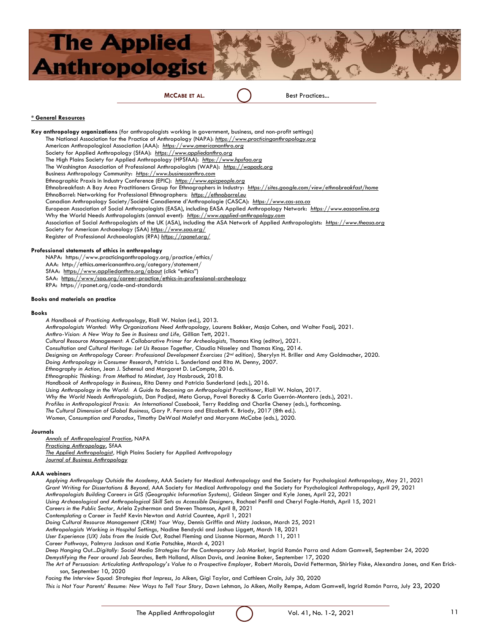

#### **\* General Resources**

**Key anthropology organizations** (for anthropologists working in government, business, and non-profit settings) The National Association for the Practice of Anthropology (NAPA): *[https://www.practicinganthropology.org](https://www.practicinganthropology.org/)* American Anthropological Association (AAA): *[https://www.americananthro.org](https://www.americananthro.org/)* Society for Applied Anthropology (SfAA): *<https://www.appliedanthro.org>* The High Plains Society for Applied Anthropology (HPSfAA): *[https://www.hpsfaa.org](https://www.hpsfaa.org/)* The Washington Association of Professional Anthropologists (WAPA): *[https://wapadc.org](https://wapadc.org/)* Business Anthropology Community: *[https://www.businessanthro.com](https://www.businessanthro.com/)* Ethnographic Praxis in Industry Conference (EPIC): *<https://www.epicpeople.org>* Ethnobreakfast: A Bay Area Practitioners Group for Ethnographers in Industry: *<https://sites.google.com/view/ethnobreakfast/home>* EthnoBorrel: Networking for Professional Ethnographers: *[https://ethnoborrel.eu](https://ethnoborrel.eu/)* Canadian Anthropology Society/Société Canadienne d'Anthropologie (CASCA): *[https://www.cas-sca.ca](https://www.cas-sca.ca/)* European Association of Social Anthropologists (EASA), including EASA Applied Anthropology Network: *[https://www.easaonline.org](https://www.easaonline.org/)* Why the World Needs Anthropologists (annual event): *[https://www.applied-anthropology.com](https://www.applied-anthropology.com/)* Association of Social Anthropologists of the UK (ASA), including the ASA Network of Applied Anthropologists: *[https://www.theasa.org](https://www.theasa.org/)* Society for American Archaeology (SAA) *https://www.saa.org/* Register of Professional Archaeologists (RPA) *https://rpanet.org/*

#### **Professional statements of ethics in anthropology**

NAPA: https://www.practicinganthropology.org/practice/ethics/

AAA: http://ethics.americananthro.org/category/statement/

SfAA: <https://www.appliedanthro.org/about> (click "ethics")

SAA: <https://www/saa.org/career-practice/ethics-in-professional-archeology>

RPA: https://rpanet.org/code-and-standards

#### **Books and materials on practice**

#### **Books**

*A Handbook of Practicing Anthropology*, Riall W. Nolan (ed.), 2013.

*Anthropologists Wanted: Why Organizations Need Anthropology,* Laurens Bakker, Masja Cohen, and Walter Faaij, 2021.

*Anthro-Vision: A New Way to See in Business and Life,* Gillian Tett, 2021.

*Cultural Resource Management: A Collaborative Primer for Archeologists,* Thomas King (editor), 2021.

*Consultation and Cultural Heritage: Let Us Reason Together,* Claudia Nisseley and Thomas King, 2014.

*Designing an Anthropology Career: Professional Development Exercises (2nd edition),* Sherylyn H. Briller and Amy Goldmacher, 2020.

*Doing Anthropology in Consumer Research*, Patricia L. Sunderland and Rita M. Denny, 2007.

*Ethnography in Action*, Jean J. Schensul and Margaret D. LeCompte, 2016.

*Ethnographic Thinking: From Method to Mindset*, Jay Hasbrouck, 2018.

*Handbook of Anthropology in Business*, Rita Denny and Patricia Sunderland (eds.), 2016.

*Using Anthropology in the World: A Guide to Becoming an Anthropologist Practitioner*, Riall W. Nolan, 2017.

*Why the World Needs Anthropologists,* Dan Podjed, Meta Gorup, Pavel Borecky & Carla Guerrón-Montero (eds.), 2021.

*Profiles in Anthropological Praxis: An International Casebook,* Terry Redding and Charlie Cheney (eds.), forthcoming.

*The Cultural Dimension of Global Business*, Gary P. Ferraro and Elizabeth K. Briody, 2017 (8th ed.).

*Women, Consumption and Paradox*, Timothy DeWaal Malefyt and Maryann McCabe (eds.), 2020.

#### **Journals**

*[Annals of Anthropological Practice](https://anthrosource.onlinelibrary.wiley.com/journal/21539588)*, NAPA

*[Practicing Anthropology](https://www.appliedanthro.org/publications/practicing-anthropology)*, SfAA

*[The Applied Anthropologist](https://hpsfaa.wildapricot.org/The_Applied_Anthropologist/),* High Plains Society for Applied Anthropology

*[Journal of Business Anthropology](https://rauli.cbs.dk/index.php/jba)*

#### **AAA webinars**

*Applying Anthropology Outside the Academy*, AAA Society for Medical Anthropology and the Society for Psychological Anthropology, May 21, 2021 *Grant Writing for Dissertations & Beyond,* AAA Society for Medical Anthropology and the Society for Psychological Anthropology, April 29, 2021 *Anthropologists Building Careers in GIS (Geographic Information Systems),* Gideon Singer and Kyle Jones, April 22, 2021

*Using Archaeological and Anthropological Skill Sets as Accessible Designers,* Rachael Penfil and Cheryl Fogle-Hatch, April 15, 2021

*Careers in the Public Sector,* Ariela Zycherman and Steven Thomson, April 8, 2021

*Contemplating a Career in Tech?* Kevin Newton and Astrid Countee, April 1, 2021

*Doing Cultural Resource Management (CRM) Your Way,* Dennis Griffin and Misty Jackson, March 25, 2021

*Anthropologists Working in Hospital Settings,* Nadine Bendycki and Joshua Liggett, March 18, 2021

*User Experience (UX) Jobs from the Inside Out,* Rachel Fleming and Lisanne Norman, March 11, 2011

*Career Pathways,* Palmyra Jackson and Katie Patschke, March 4, 2021

*Deep Hanging Out...Digitally: Social Media Strategies for the Contemporary Job Market,* Ingrid Ramón Parra and Adam Gamwell, September 24, 2020

*Demystifying the Fear around Job Searches,* Beth Holland, Alison Davis, and Jeanine Baker, September 17, 2020 The Art of Persuasion: Articulating Anthropology's Value to a Prospective Employer, Robert Morais, David Fetterman, Shirley Fiske, Alexandra Jones, and Ken Erick-

son, September 10, 2020

*Facing the Interview Squad: Strategies that Impress*, Jo Aiken, Gigi Taylor, and Cathleen Crain, July 30, 2020

*This is Not Your Parents' Resume: New Ways to Tell Your Story,* Dawn Lehman, Jo Aiken, Molly Rempe, Adam Gamwell, Ingrid Ramón Parra, July 23, 2020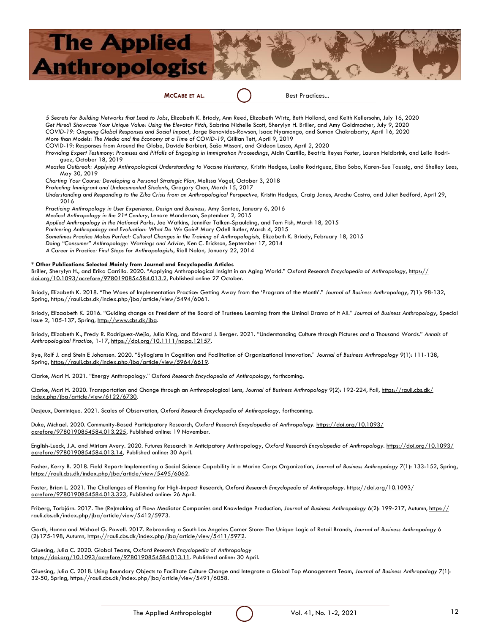

*5 Secrets for Building Networks that Lead to Jobs*, Elizabeth K. Briody, Ann Reed, Elizabeth Wirtz, Beth Holland, and Keith Kellersohn, July 16, 2020 *Get Hired! Showcase Your Unique Value: Using the Elevator Pitch*, Sabrina Nichelle Scott, Sherylyn H. Briller, and Amy Goldmacher, July 9, 2020 *COVID-19: Ongoing Global Responses and Social Impact,* Jorge Benavides-Rawson, Isaac Nyamongo, and Suman Chakrabarty, April 16, 2020 *More than Models: The Media and the Economy at a Time of COVID-19*, Gillian Tett, April 9, 2019 COVID-19: Responses from Around the Globe, Davide Barbieri, Saša Missoni, and Gideon Lasco, April 2, 2020 *Providing Expert Testimony: Promises and Pitfalls of Engaging in Immigration Proceedings*, Aidin Castillo, Beatriz Reyes Foster, Lauren Heidbrink, and Leila Rodriguez, October 18, 2019 *Measles Outbreak: Applying Anthropological Understanding to Vaccine Hesitancy,* Kristin Hedges, Leslie Rodriguez, Elisa Sobo, Karen-Sue Taussig, and Shelley Lees, May 30, 2019 *Charting Your Course: Developing a Personal Strategic Plan*, Melissa Vogel, October 3, 2018 *Protecting Immigrant and Undocumented Students*, Gregory Chen, March 15, 2017 *Understanding and Responding to the Zika Crisis from an Anthropological Perspective,* Kristin Hedges*,* Craig Janes, Arachu Castro, and Juliet Bedford, April 29, 2016 *Practicing Anthropology in User Experience, Design and Business,* Amy Santee, January 6, 2016 *Medical Anthropology in the 21st Century*, Lenore Manderson, September 2, 2015 *Applied Anthropology in the National Parks*, Joe Watkins, Jennifer Talken-Spaulding, and Tom Fish, March 18, 2015 *Partnering Anthropology and Evaluation: What Do We Gain?* Mary Odell Butler, March 4, 2015 *Sometimes Practice Makes Perfect: Cultural Changes in the Training of Anthropologists,* Elizabeth K. Briody, February 18, 2015 *Doing "Consumer" Anthropology: Warnings and Advice,* Ken C. Erickson, September 17, 2014 *A Career in Practice: First Steps for Anthropologists*, Riall Nolan, January 22, 2014 **\* Other Publications Selected Mainly from Journal and Encyclopedia Articles** Briller, Sherylyn H., and Erika Carrillo. 2020. "Applying Anthropological Insight in an Aging World." *Oxford Research Encyclopedia of Anthropology*, [https://](https://doi.org/10.1093/acrefore/9780190854584.013.2) [doi.org/10.1093/acrefore/9780190854584.013.2,](https://doi.org/10.1093/acrefore/9780190854584.013.2) Published online 27 October. Briody, Elizabeth K. 2018. "The Woes of Implementation Practice: Getting Away from the 'Program of the Month'." *Journal of Business Anthropology*, 7(1): 98-132, Spring, [https://rauli.cbs.dk/index.php/jba/article/view/5494/6061.](https://rauli.cbs.dk/index.php/jba/article/view/5494/6061) Briody, Elizaabeth K. 2016. "Guiding change as President of the Board of Trustees: Learning from the Liminal Drama of It All." *Journal of Business Anthropology*, Special Issue 2, 105-137, Spring, http://www.cbs.dk/jba.

Briody, Elizabeth K., Fredy R. Rodríguez-Mejía, Julia King, and Edward J. Berger. 2021. "Understanding Culture through Pictures *and* a Thousand Words." *Annals of Anthropological Practice,* 1-17, [https://doi.org/10.1111/napa.12157.](https://doi.org/10.1111/napa.12157)

Bye, Rolf J. and Stein E Johansen. 2020. "Syllogisms in Cognition and Facilitation of Organizational Innovation." *Journal of Business Anthropology* 9(1): 111-138, Spring, [https://rauli.cbs.dk/index.php/jba/article/view/5964/6619.](https://rauli.cbs.dk/index.php/jba/article/view/5964/6619)

Clarke, Mari H. 2021. "Energy Anthropology." *Oxford Research Encyclopedia of Anthropology*, forthcoming.

Clarke, Mari H. 2020. Transportation and Change through an Anthropological Lens, *Journal of Business Anthropology* 9(2): 192-224, Fall, [https://rauli.cbs.dk/](https://rauli.cbs.dk/index.php/jba/article/view/6122/6730) [index.php/jba/article/view/6122/6730.](https://rauli.cbs.dk/index.php/jba/article/view/6122/6730)

Desjeux, Dominique. 2021. Scales of Observation, *Oxford Research Encyclopedia of Anthropology,* forthcoming.

Duke, Michael. 2020. Community-Based Participatory Research, *Oxford Research Encyclopedia of Anthropology.* [https://doi.org/10.1093/](https://doi.org/10.1093/acrefore/9780190854584.013.225) [acrefore/9780190854584.013.225,](https://doi.org/10.1093/acrefore/9780190854584.013.225) Published online: 19 November.

English-Lueck, J.A. and Miriam Avery. 2020. Futures Research in Anticipatory Anthropology, *Oxford Research Encyclopedia of Anthropology.* [https://doi.org/10.1093/](https://doi.org/10.1093/acrefore/9780190854584.013.14) [acrefore/9780190854584.013.14](https://doi.org/10.1093/acrefore/9780190854584.013.14)*,* Published online: 30 April.

Fosher, Kerry B. 2018. Field Report: Implementing a Social Science Capability in a Marine Corps Organization, *Journal of Business Anthropology* 7(1): 133-152, Spring, [https://rauli.cbs.dk/index.php/jba/article/view/5495/6062.](https://rauli.cbs.dk/index.php/jba/article/view/5495/6062)

Foster, Brian L. 2021. The Challenges of Planning for High-Impact Research, *Oxford Research Encyclopedia of Anthropology*. [https://doi.org/10.1093/](https://doi.org/10.1093/acrefore/9780190854584.013.323) [acrefore/9780190854584.013.323,](https://doi.org/10.1093/acrefore/9780190854584.013.323) Published online: 26 April.

Friberg, Torbjörn. 2017. The (Re)making of Flow: Mediator Companies and Knowledge Production, *Journal of Business Anthropology* 6(2): 199-217, Autumn, [https://](https://rauli.cbs.dk/index.php/jba/article/view/5412/5973) [rauli.cbs.dk/index.php/jba/article/view/5412/5973.](https://rauli.cbs.dk/index.php/jba/article/view/5412/5973)

Garth, Hanna and Michael G. Powell. 2017. Rebranding a South Los Angeles Corner Store: The Unique Logic of Retail Brands, *Journal of Business Anthropology* 6 (2):175-198, Autumn, [https://rauli.cbs.dk/index.php/jba/article/view/5411/5972.](https://rauli.cbs.dk/index.php/jba/article/view/5411/5972)

Gluesing, Julia C. 2020. Global Teams, *Oxford Research Encyclopedia of Anthropology* [https://doi.org/10.1093/acrefore/9780190854584.013.11.](https://doi.org/10.1093/acrefore/9780190854584.013.11) Published online: 30 April.

Gluesing, Julia C. 2018. Using Boundary Objects to Facilitate Culture Change and Integrate a Global Top Management Team, *Journal of Business Anthropology* 7(1): 32-50, Spring, [https://rauli.cbs.dk/index.php/jba/article/view/5491/6058.](https://rauli.cbs.dk/index.php/jba/article/view/5491/6058)

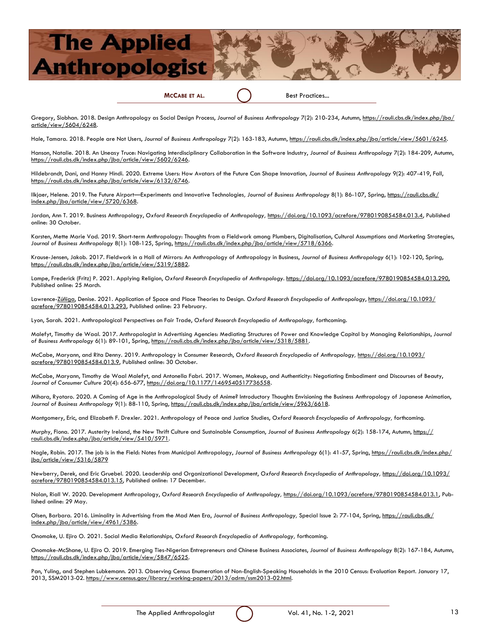**MCCABE ET AL.** Best Practices...

Gregory, Siobhan. 2018. Design Anthropology as Social Design Process, Journal of Business Anthropology 7(2): 210-234, Autumn, [https://rauli.cbs.dk/index.php/jba/](https://rauli.cbs.dk/index.php/jba/article/view/5604/6248) [article/view/5604/6248.](https://rauli.cbs.dk/index.php/jba/article/view/5604/6248)

Hale, Tamara. 2018. People are Not Users, *Journal of Business Anthropology* 7(2): 163-183, Autumn, [https://rauli.cbs.dk/index.php/jba/article/view/5601/6245.](https://rauli.cbs.dk/index.php/jba/article/view/5601/6245)

Hanson, Natalie. 2018. An Uneasy Truce: Navigating Interdisciplinary Collaboration in the Software Industry, *Journal of Business Anthropology* 7(2): 184-209, Autumn, [https://rauli.cbs.dk/index.php/jba/article/view/5602/6246.](https://rauli.cbs.dk/index.php/jba/article/view/5602/6246)

Hildebrandt, Dani, and Hanny Hindi. 2020. Extreme Users: How Avatars of the Future Can Shape Innovation, *Journal of Business Anthropology* 9(2): 407-419, Fall, [https://rauli.cbs.dk/index.php/jba/article/view/6132/6746.](https://rauli.cbs.dk/index.php/jba/article/view/6132/6746)

Ilkjaer, Helene. 2019. The Future Airport—Experiments and Innovative Technologies*, Journal of Business Anthropology* 8(1): 86-107, Spring, [https://rauli.cbs.dk/](https://rauli.cbs.dk/index.php/jba/article/view/5720/6368) [index.php/jba/article/view/5720/6368.](https://rauli.cbs.dk/index.php/jba/article/view/5720/6368) 

Jordan, Ann T. 2019. Business Anthropology, *Oxford Research Encyclopedia of Anthropology,* [https://doi.org/10.1093/acrefore/9780190854584.013.4,](https://doi.org/10.1093/acrefore/9780190854584.013.4) Published online: 30 October.

Karsten, Mette Marie Vad. 2019. Short-term Anthropology: Thoughts from a Fieldwork among Plumbers, Digitalisation, Cultural Assumptions and Marketing Strategies, Journal of Business Anthropology 8(1): 108-125, Spring, https://rauli.cbs.dk/index.php/jba/article/view/5718/6366.

Krause-Jensen, Jakob. 2017. Fieldwork in a Hall of Mirrors: An Anthropology of Anthropology in Business, *Journal of Business Anthropology* 6(1): 102-120, Spring, [https://rauli.cbs.dk/index.php/jba/article/view/5319/5882.](https://rauli.cbs.dk/index.php/jba/article/view/5319/5882)

Lampe, Frederick (Fritz) P. 2021. Applying Religion, Oxford Research Encyclopedia of Anthropology. [https://doi.org/10.1093/acrefore/9780190854584.013.290,](https://doi.org/10.1093/acrefore/9780190854584.013.290) Published online: 25 March.

Lawrence-[Zúñiga,](https://oxfordre.com/anthropology/view/10.1093/acrefore/9780190854584.001.0001/acrefore-9780190854584-e-293) Denise. 2021. Application of Space and Place Theories to Design. *Oxford Research Encyclopedia of Anthropology*, [https://doi.org/10.1093/](https://doi.org/10.1093/acrefore/9780190854584.013.293) [acrefore/9780190854584.013.293,](https://doi.org/10.1093/acrefore/9780190854584.013.293) Published online: 23 February.

Lyon, Sarah. 2021. Anthropological Perspectives on Fair Trade, *Oxford Research Encyclopedia of Anthropology,* forthcoming.

Malefyt, Timothy de Waal. 2017. Anthropologist in Advertising Agencies: Mediating Structures of Power and Knowledge Capital by Managing Relationships, *Journal of Business Anthropology* 6(1): 89-101, Spring, [https://rauli.cbs.dk/index.php/jba/article/view/5318/5881.](https://rauli.cbs.dk/index.php/jba/article/view/5318/5881)

McCabe, Maryann, and Rita Denny. 2019. Anthropology in Consumer Research, *Oxford Research Encyclopedia of Anthropology,* [https://doi.org/10.1093/](https://doi.org/10.1093/acrefore/9780190854584.013.9) [acrefore/9780190854584.013.9,](https://doi.org/10.1093/acrefore/9780190854584.013.9) Published online: 30 October.

McCabe, Maryann, Timothy de Waal Malefyt, and Antonella Fabri. 2017. Women, Makeup, and Authenticity: Negotiating Embodiment and Discourses of Beauty, *Journal of Consumer Culture* 20(4): 656-677, [https://doi.org/10.1177/1469540517736558.](https://doi.org/10.1177/1469540517736558)

Mihara, Ryotaro. 2020. A Coming of Age in the Anthropological Study of Anime? Introductory Thoughts Envisioning the Business Anthropology of Japanese Animation, *Journal of Business Anthropology* 9(1): 88-110, Spring, [https://rauli.cbs.dk/index.php/jba/article/view/5963/6618.](https://rauli.cbs.dk/index.php/jba/article/view/5963/6618)

Montgomery, Eric, and Elizabeth F. Drexler. 2021. Anthropology of Peace and Justice Studies, *Oxford Research Encyclopedia of Anthropology,* forthcoming.

Murphy, Fiona. 2017. Austerity Ireland, the New Thrift Culture and Sustainable Consumption, *Journal of Business Anthropology* 6(2): 158-174, Autumn, [https://](https://rauli.cbs.dk/index.php/jba/article/view/5410/5971) [rauli.cbs.dk/index.php/jba/article/view/5410/5971.](https://rauli.cbs.dk/index.php/jba/article/view/5410/5971)

Nagle, Robin. 2017. The job is in the Field: Notes from Municipal Anthropology, Journal of Business Anthropology 6(1): 41-57, Spring, [https://rauli.cbs.dk/index.php/](https://rauli.cbs.dk/index.php/jba/article/view/5316/5879) [jba/article/view/5316/5879](https://rauli.cbs.dk/index.php/jba/article/view/5316/5879)

Newberry, Derek, and Eric Gruebel. 2020. Leadership and Organizational Development, *Oxford Research Encyclopedia of Anthropology,* [https://doi.org/10.1093/](https://doi.org/10.1093/acrefore/9780190854584.013.15) [acrefore/9780190854584.013.15,](https://doi.org/10.1093/acrefore/9780190854584.013.15) Published online: 17 December.

Nolan, Riall W. 2020. Development Anthropology, *Oxford Research Encyclopedia of Anthropology,* [https://doi.org/10.1093/acrefore/9780190854584.013.1,](https://oxfordre.com/anthropology/view/10.1093/acrefore/9780190854584.001.0001/acrefore-9780190854584-e-1) Published online: 29 May.

Olsen, Barbara. 2016. Liminality in Advertising from the Mad Men Era, *Journal of Business Anthropology,* Special Issue 2: 77-104, Spring, [https://rauli.cbs.dk/](https://rauli.cbs.dk/index.php/jba/article/view/4961/5386) [index.php/jba/article/view/4961/5386.](https://rauli.cbs.dk/index.php/jba/article/view/4961/5386)

Onomake, U. Ejiro O. 2021. Social Media Relationships, *Oxford Research Encyclopedia of Anthropology,* forthcoming.

Onomake-McShane, U. Ejiro O. 2019. Emerging Ties-Nigerian Entrepreneurs and Chinese Business Associates, *Journal of Business Anthropology* 8(2): 167-184, Autumn, [https://rauli.cbs.dk/index.php/jba/article/view/5847/6525.](https://rauli.cbs.dk/index.php/jba/article/view/5847/6525)

Pan, Yuling, and Stephen Lubkemann. 2013. Observing Census Enumeration of Non-English-Speaking Households in the 2010 Census: Evaluation Report. January 17, 2013, SSM2013-02. [https://www.census.gov/library/working-papers/2013/adrm/ssm2013-02.html.](https://www.census.gov/library/working-papers/2013/adrm/ssm2013-02.html)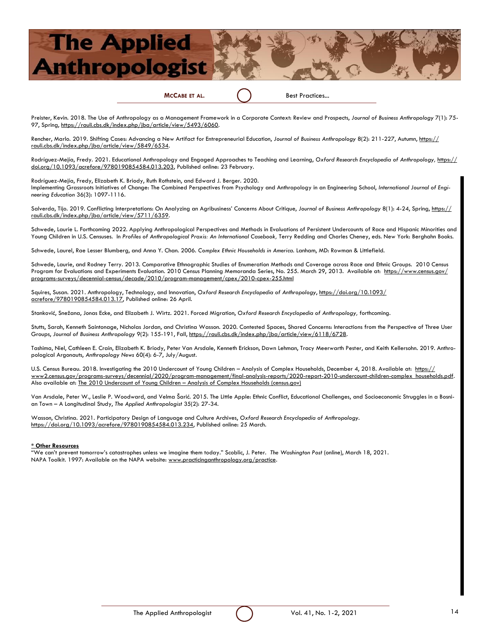**MCCABE ET AL.** Best Practices...

Preister, Kevin. 2018. The Use of Anthropology as a Management Framework in a Corporate Context: Review and Prospects, *Journal of Business Anthropology* 7(1): 75- 97, Spring, [https://rauli.cbs.dk/index.php/jba/article/view/5493/6060.](https://rauli.cbs.dk/index.php/jba/article/view/5493/6060)

Rencher, Marlo. 2019. Shifting Cases: Advancing a New Artifact for Entrepreneurial Education, *Journal of Business Anthropology* 8(2): 211-227, Autumn, [https://](https://rauli.cbs.dk/index.php/jba/article/view/5849/6534) [rauli.cbs.dk/index.php/jba/article/view/5849/6534.](https://rauli.cbs.dk/index.php/jba/article/view/5849/6534)

Rodríguez-Mejía, Fredy. 2021. Educational Anthropology and Engaged Approaches to Teaching and Learning, *Oxford Research Encyclopedia of Anthropology,* [https://](https://doi.org/10.1093/acrefore/9780190854584.013.203) [doi.org/10.1093/acrefore/9780190854584.013.203,](https://doi.org/10.1093/acrefore/9780190854584.013.203) Published online: 23 February.

Rodríguez-Mejía, Fredy, Elizabeth K. Briody, Ruth Rothstein, and Edward J. Berger. 2020.

Implementing Grassroots Initiatives of Change: The Combined Perspectives from Psychology and Anthropology in an Engineering School, *International Journal of Engineering Education* 36(3): 1097-1116.

Salverda, Tijo. 2019. Conflicting Interpretations: On Analyzing an Agribusiness' Concerns About Critique, Journal of Business Anthropology 8(1): 4-24, Spring, [https://](https://rauli.cbs.dk/index.php/jba/article/view/5711/6359) [rauli.cbs.dk/index.php/jba/article/view/5711/6359.](https://rauli.cbs.dk/index.php/jba/article/view/5711/6359)

Schwede, Laurie L. Forthcoming 2022. Applying Anthropological Perspectives and Methods in Evaluations of Persistent Undercounts of Race and Hispanic Minorities and Young Children in U.S. Censuses. In *Profiles of Anthropological Praxis: An International Casebook,* Terry Redding and Charles Cheney, eds. New York: Berghahn Books.

Schwede, Laurel, Rae Lesser Blumberg, and Anna Y. Chan. 2006. *Complex Ethnic Households in America.* Lanham, MD: Rowman & Littlefield.

Schwede, Laurie, and Rodney Terry. 2013. Comparative Ethnographic Studies of Enumeration Methods and Coverage across Race and Ethnic Groups. 2010 Census Program for Evaluations and Experiments Evaluation. 2010 Census Planning Memoranda Series, No. 255. March 29, 2013. Available at: [https://www.census.gov/](https://www.census.gov/programs-surveys/decennial-census/decade/2010/program-management/cpex/2010-cpex-255.html) [programs-surveys/decennial-census/decade/2010/program-management/cpex/2010-cpex-255.html](https://www.census.gov/programs-surveys/decennial-census/decade/2010/program-management/cpex/2010-cpex-255.html)

Squires, Susan. 2021. Anthropology, Technology, and Innovation, *Oxford Research Encyclopedia of Anthropology*, [https://doi.org/10.1093/](https://doi.org/10.1093/acrefore/9780190854584.013.17) [acrefore/9780190854584.013.17,](https://doi.org/10.1093/acrefore/9780190854584.013.17) Published online: 26 April.

Stanković, Snežana, Jonas Ecke, and Elizabeth J. Wirtz. 2021. Forced Migration, *Oxford Research Encyclopedia of Anthropology,* forthcoming.

Stutts, Sarah, Kenneth Saintonage, Nicholas Jordan, and Christina Wasson. 2020. Contested Spaces, Shared Concerns: Interactions from the Perspective of Three User Groups, *Journal of Business Anthropology* 9(2): 155-191, Fall, [https://rauli.cbs.dk/index.php/jba/article/view/6118/6728.](https://rauli.cbs.dk/index.php/jba/article/view/6118/6728)

Tashima, Niel, Cathleen E. Crain, Elizabeth K. Briody, Peter Van Arsdale, Kenneth Erickson, Dawn Lehman, Tracy Meerwarth Pester, and Keith Kellersohn. 2019. Anthropological Argonauts, *Anthropology News* 60(4): 6-7, July/August.

U.S. Census Bureau. 2018. Investigating the 2010 Undercount of Young Children – Analysis of Complex Households, December 4, 2018. Available at: [https://](https://www2.census.gov/programs-surveys/decennial/2020/program-management/final-analysis-reports/2020-report-2010-undercount-children-complex_households.pdf) [www2.census.gov/programs-surveys/decennial/2020/program-management/final-analysis-reports/2020-report-2010-undercount-children-complex\\_households.pdf.](https://www2.census.gov/programs-surveys/decennial/2020/program-management/final-analysis-reports/2020-report-2010-undercount-children-complex_households.pdf)  Also available at: The 2010 Undercount of Young Children - [Analysis of Complex Households \(census.gov\)](https://www.census.gov/library/working-papers/2018/adrm/rsm2018-20.html)

Van Arsdale, Peter W., Leslie P. Woodward, and Velma Šarić. 2015. The Little Apple: Ethnic Conflict, Educational Challenges, and Socioeconomic Struggles in a Bosnian Town – A Longitudinal Study, *The Applied Anthropologist* 35(2): 27-34.

Wasson, Christina. 2021. Participatory Design of Language and Culture Archives, *Oxford Research Encyclopedia of Anthropology*. [https://doi.org/10.1093/acrefore/9780190854584.013.234,](https://doi.org/10.1093/acrefore/9780190854584.013.234) Published online: 25 March.

#### **\* Other Resources**

"We can't prevent tomorrow's catastrophes unless we imagine them today." Scoblic, J. Peter. *The Washington Post* (online), March 18, 2021. NAPA Toolkit. 1997: Available on the NAPA website: www.practicinganthropology.org/practice.

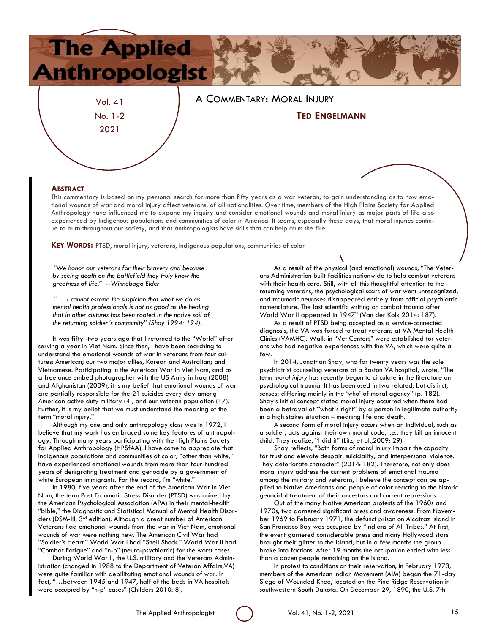

#### **ABSTRACT**

This commentary is based on my personal search for more than fifty years as a war veteran, to gain understanding as to how emotional wounds of war and moral injury affect veterans, of all nationalities. Over time, members of the High Plains Society for Applied Anthropology have influenced me to expand my inquiry and consider emotional wounds and moral injury as major parts of life also experienced by Indigenous populations and communities of color in America. It seems, especially these days, that moral injuries continue to burn throughout our society, and that anthropologists have skills that can help calm the fire.

**KEY WORDS:** PTSD, moral injury, veterans, Indigenous populations, communities of color

*"We honor our veterans for their bravery and because by seeing death on the battlefield they truly know the greatness of life." --Winnebago Elder*

*" . . .I cannot escape the suspicion that what we do as mental health professionals is not as good as the healing that in other cultures has been rooted in the native soil of the returning soldier's community" (Shay 1994: 194).*

It was fifty -two years ago that I returned to the "World" after serving a year in Viet Nam. Since then, I have been searching to understand the emotional wounds of war in veterans from four cultures: American; our two major allies, Korean and Australian; and Vietnamese. Participating in the American War in Viet Nam, and as a freelance embed photographer with the US Army in Iraq (2008) and Afghanistan (2009), it is my belief that emotional wounds of war are partially responsible for the 21 suicides every day among American active duty military (4), and our veteran population (17). Further, it is my belief that we must understand the meaning of the term "moral injury."

Although my one and only anthropology class was in 1972, I believe that my work has embraced some key features of anthropology. Through many years participating with the High Plains Society for Applied Anthropology (HPSfAA), I have come to appreciate that Indigenous populations and communities of color, "other than white," have experienced emotional wounds from more than four-hundred years of denigrating treatment and genocide by a government of white European immigrants. For the record, I'm "white."

In 1980, five years after the end of the American War in Viet Nam, the term Post Traumatic Stress Disorder (PTSD) was coined by the American Psychological Association (APA) in their mental-health "bible," the Diagnostic and Statistical Manual of Mental Health Disorders (DSM-III, 3rd edition). Although a great number of American Veterans had emotional wounds from the war in Viet Nam, emotional wounds of war were nothing new. The American Civil War had "Soldier's Heart." World War I had "Shell Shock." World War II had "Combat Fatigue" and "n-p" (neuro-psychiatric) for the worst cases.

During World War II, the U.S. military and the Veterans Administration (changed in 1988 to the Department of Veteran Affairs,VA) were quite familiar with debilitating emotional wounds of war. In fact, "…between 1945 and 1947, half of the beds in VA hospitals were occupied by "n-p" cases" (Childers 2010: 8).

As a result of the physical (and emotional) wounds, "The Veterans Administration built facilities nationwide to help combat veterans with their health care. Still, with all this thoughtful attention to the returning veterans, the psychological scars of war went unrecognized, and traumatic neuroses disappeared entirely from official psychiatric nomenclature. The last scientific writing on combat trauma after World War II appeared in 1947" (Van der Kolk 2014: 187).

As a result of PTSD being accepted as a service-connected diagnosis, the VA was forced to treat veterans at VA Mental Health Clinics (VAMHC). Walk-in "Vet Centers" were established tor veterans who had negative experiences with the VA, which were quite a few.

In 2014, Jonathan Shay, who for twenty years was the sole psychiatrist counseling veterans at a Boston VA hospital, wrote, "The term *moral injury* has recently begun to circulate in the literature on psychological trauma. It has been used in two related, but distinct, senses; differing mainly in the 'who' of moral agency" (p. 182). Shay's initial concept stated moral injury occurred when there had been a betrayal of "what's right" by a person in legitimate authority in a high stakes situation – meaning life and death.

A second form of moral injury occurs when an individual, such as a soldier, acts against their own moral code, i.e., they kill an innocent child. They realize, "I did it" (Litz, et al.,2009: 29).

Shay reflects, "Both forms of moral injury impair the capacity for trust and elevate despair, suicidality, and interpersonal violence. They deteriorate character" (2014: 182). Therefore, not only does moral injury address the current problems of emotional trauma among the military and veterans, I believe the concept can be applied to Native Americans and people of color reacting to the historic genocidal treatment of their ancestors and current repressions.

Out of the many Native American protests of the 1960s and 1970s, two garnered significant press and awareness. From November 1969 to February 1971, the defunct prison on Alcatraz Island in San Francisco Bay was occupied by "Indians of All Tribes." At first, the event garnered considerable press and many Hollywood stars brought their glitter to the island, but in a few months the group broke into factions. After 19 months the occupation ended with less than a dozen people remaining on the island.

In protest to conditions on their reservation, in February 1973, members of the American Indian Movement (AIM) began the 71-day Siege of Wounded Knee, located on the Pine Ridge Reservation in southwestern South Dakota. On December 29, 1890, the U.S. 7th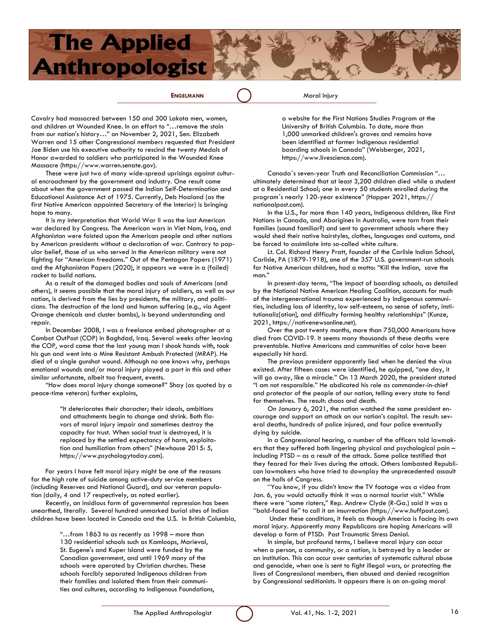**ENGELMANN** ( ) Moral Injury

Cavalry had massacred between 150 and 300 Lakota men, women, and children at Wounded Knee. In an effort to "…remove the stain from our nation's history…" on November 2, 2021, Sen. Elizabeth Warren and 15 other Congressional members requested that President Joe Biden use his executive authority to rescind the twenty Medals of Honor awarded to soldiers who participated in the Wounded Knee Massacre (https://www.warren.senate.gov).

These were just two of many wide-spread uprisings against cultural encroachment by the government and industry. One result came about when the government passed the Indian Self-Determination and Educational Assistance Act of 1975. Currently, Deb Haaland (as the first Native American appointed Secretary of the Interior) is bringing hope to many.

It is my interpretation that World War II was the last American war declared by Congress. The American wars in Viet Nam, Iraq, and Afghanistan were foisted upon the American people and other nations by American presidents without a declaration of war. Contrary to popular belief, those of us who served in the American military were not fighting for "American freedoms." Out of the Pentagon Papers (1971) and the Afghanistan Papers (2020), it appears we were in a (failed) racket to build nations.

As a result of the damaged bodies and souls of Americans (and others), it seems possible that the moral injury of soldiers, as well as our nation, is derived from the lies by presidents, the military, and politicians. The destruction of the land and human suffering (e.g., via Agent Orange chemicals and cluster bombs), is beyond understanding and repair.

In December 2008, I was a freelance embed photographer at a Combat OutPost (COP) in Baghdad, Iraq. Several weeks after leaving the COP, word came that the last young man I shook hands with, took his gun and went into a Mine Resistant Ambush Protected (MRAP). He died of a single gunshot wound. Although no one knows why, perhaps emotional wounds and/or moral injury played a part in this and other similar unfortunate, albeit too frequent, events.

"How does moral injury change someone?" Shay (as quoted by a peace-time veteran) further explains,

> "It deteriorates their character; their ideals, ambitions and attachments begin to change and shrink. Both flavors of moral injury impair and sometimes destroy the capacity for trust. When social trust is destroyed, it is replaced by the settled expectancy of harm, exploitation and humiliation from others" (Newhouse 2015: 5, https://www.psychologytoday.com).

For years I have felt moral injury might be one of the reasons for the high rate of suicide among active-duty service members (including Reserves and National Guard), and our veteran population (daily, 4 and 17 respectively, as noted earlier).

Recently, an insidious form of governmental repression has been unearthed, literally. Several hundred unmarked burial sites of Indian children have been located in Canada and the U.S. In British Columbia,

> "…from 1863 to as recently as 1998 – more than 130 residential schools such as Kamloops, Marieval, St. Eugene's and Kuper Island were funded by the Canadian government, and until 1969 many of the schools were operated by Christian churches. These schools forcibly separated Indigenous children from their families and isolated them from their communities and cultures, according to Indigenous Foundations,

a website for the First Nations Studies Program at the University of British Columbia. To date, more than 1,000 unmarked children's graves and remains have been identified at former Indigenous residential boarding schools in Canada" (Weisberger, 2021, https://www.livescience.com).

Canada's seven-year Truth and Reconciliation Commission "… ultimately determined that at least 3,200 children died while a student at a Residential School; one in every 50 students enrolled during the program's nearly 120-year existence" (Hopper 2021, https:// nationalpost.com).

In the U.S., for more than 140 years, Indigenous children, like First Nations in Canada, and Aborigines in Australia, were torn from their families (sound familiar?) and sent to government schools where they would shed their native hairstyles, clothes, languages and customs, and be forced to assimilate into so-called white culture.

Lt. Col. Richard Henry Pratt, founder of the Carlisle Indian School, Carlisle, PA (1879-1918), one of the 357 U.S. government-run schools for Native American children, had a motto: "Kill the Indian, save the man."

In present-day terms, "The impact of boarding schools, as detailed by the National Native American Healing Coalition, accounts for much of the intergenerational trauma experienced by Indigenous communities, including loss of identity, low self-esteem, no sense of safety, institutionaliz[ation], and difficulty forming healthy relationships" (Kunze, 2021, https://nativenewsonline.net).

Over the past twenty months, more than 750,000 Americans have died from COVID-19. It seems many thousands of these deaths were preventable. Native Americans and communities of color have been especially hit hard.

The previous president apparently lied when he denied the virus existed. After fifteen cases were identified, he quipped, "one day, it will go away, like a miracle." On 13 March 2020, the president stated "I am not responsible." He abdicated his role as commander-in-chief and protector of the people of our nation, telling every state to fend for themselves. The result: chaos and death.

On January 6, 2021, the nation watched the same president encourage and support an attack on our nation's capital. The result: several deaths, hundreds of police injured, and four police eventually dying by suicide.

In a Congressional hearing, a number of the officers told lawmakers that they suffered both lingering physical and psychological pain – including PTSD – as a result of the attack. Some police testified that they feared for their lives during the attack. Others lambasted Republican lawmakers who have tried to downplay the unprecedented assault on the halls of Congress.

"You know, if you didn't know the TV footage was a video from Jan. 6, you would actually think it was a normal tourist visit." While there were "some rioters," Rep. Andrew Clyde (R-Ga.) said it was a "bald-faced lie" to call it an insurrection (https://www.huffpost.com).

Under these conditions, it feels as though America is facing its own moral injury. Apparently many Republicans are hoping Americans will develop a form of PTSD: Post Traumatic Stress Denial.

In simple, but profound terms, I believe moral injury can occur when a person, a community, or a nation, is betrayed by a leader or an institution. This can occur over centuries of systematic cultural abuse and genocide, when one is sent to fight illegal wars, or protecting the lives of Congressional members, then abused and denied recognition by Congressional seditionists. It appears there is an on-going moral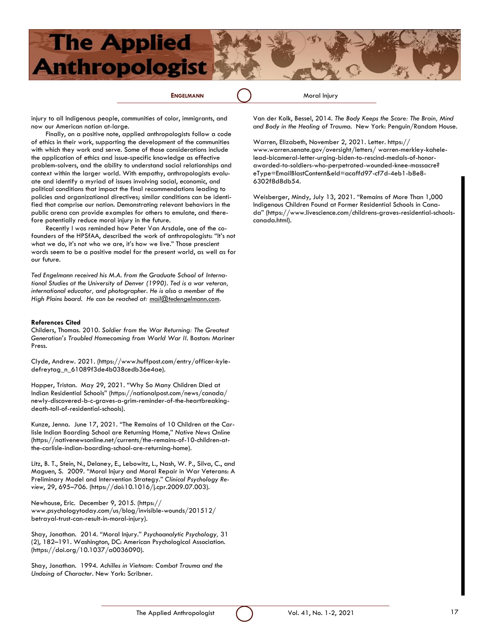**ENGELMANN** Moral Injury

injury to all Indigenous people, communities of color, immigrants, and now our American nation at-large.

Finally, on a positive note, applied anthropologists follow a code of ethics in their work, supporting the development of the communities with which they work and serve. Some of those considerations include the application of ethics and issue-specific knowledge as effective problem-solvers, and the ability to understand social relationships and context within the larger world. With empathy, anthropologists evaluate and identify a myriad of issues involving social, economic, and political conditions that impact the final recommendations leading to policies and organizational directives; similar conditions can be identified that comprise our nation. Demonstrating relevant behaviors in the public arena can provide examples for others to emulate, and therefore potentially reduce moral injury in the future.

Recently I was reminded how Peter Van Arsdale, one of the cofounders of the HPSfAA, described the work of anthropologists: "It's not what we do, it's not who we are, it's how we live." Those prescient words seem to be a positive model for the present world, as well as for our future.

*Ted Engelmann received his M.A. from the Graduate School of International Studies at the University of Denver (1990). Ted is a war veteran, international educator, and photographer. He is also a member of the High Plains board. He can be reached at: [mail@tedengelmann.com.](mailto:mail@tedengelmann.com)*

#### **References Cited**

Childers, Thomas. 2010. *Soldier from the War Returning: The Greatest Generation's Troubled Homecoming from World War II.* Boston: Mariner Press.

Clyde, Andrew. 2021. (https://www.huffpost.com/entry/officer-kyledefreytag\_n\_61089f3de4b038cedb36e4ae).

Hopper, Tristan. May 29, 2021. "Why So Many Children Died at Indian Residential Schools" (https://nationalpost.com/news/canada/ newly-discovered-b-c-graves-a-grim-reminder-of-the-heartbreakingdeath-toll-of-residential-schools).

Kunze, Jenna. June 17, 2021. "The Remains of 10 Children at the Carlisle Indian Boarding School are Returning Home," *Native News Online* (https://nativenewsonline.net/currents/the-remains-of-10-children-atthe-carlisle-indian-boarding-school-are-returning-home).

Litz, B. T., Stein, N., Delaney, E., Lebowitz, L., Nash, W. P., Silva, C., and Maguen, S. 2009. "Moral Injury and Moral Repair in War Veterans: A Preliminary Model and Intervention Strategy." *Clinical Psychology Review*, 29, 695–706. (https://doi:10.1016/j.cpr.2009.07.003).

Newhouse, Eric. December 9, 2015. (https:// www.psychologytoday.com/us/blog/invisible-wounds/201512/ betrayal-trust-can-result-in-moral-injury).

Shay, Jonathan. 2014. "Moral Injury." *Psychoanalytic Psychology,* 31 (2), 182–191. Washington, DC: American Psychological Association. (https://doi.org/10.1037/a0036090).

Shay, Jonathan. 1994. *Achilles in Vietnam: Combat Trauma and the Undoing of Character*. New York: Scribner.

Van der Kolk, Bessel, 2014. *The Body Keeps the Score: The Brain, Mind and Body in the Healing of Trauma.* New York: Penguin/Random House.

Warren, Elizabeth, November 2, 2021. Letter. [https://](https://www.warren.senate.gov/oversight/letters/) [www.warren.senate.gov/oversight/letters/ w](https://www.warren.senate.gov/oversight/letters/)arren-merkley-kahelelead-bicameral-letter-urging-biden-to-rescind-medals-of-honorawarded-to-soldiers-who-perpetrated-wounded-knee-massacre? eType=EmailBlastContent&eId=acaffd97-cf7d-4eb1-b8e8- 6302f8d8db54.

Weisberger, Mindy, July 13, 2021. "Remains of More Than 1,000 Indigenous Children Found at Former Residential Schools in Canada" (https://www.livescience.com/childrens-graves-residential-schoolscanada.html).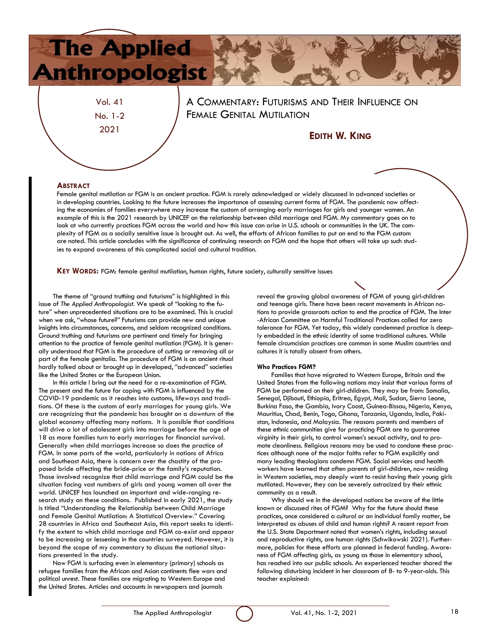Vol. 41 No. 1-2 2021

A COMMENTARY: FUTURISMS AND THEIR INFLUENCE ON FEMALE GENITAL MUTILATION

### **EDITH W. KING**

### **ABSTRACT**

Female genital mutilation or FGM is an ancient practice. FGM is rarely acknowledged or widely discussed in advanced societies or in developing countries. Looking to the future increases the importance of assessing current forms of FGM. The pandemic now affecting the economies of families everywhere may increase the custom of arranging early marriages for girls and younger women. An example of this is the 2021 research by UNICEF on the relationship between child marriage and FGM. My commentary goes on to look at who currently practices FGM across the world and how this issue can arise in U.S. schools or communities in the UK. The complexity of FGM as a socially sensitive issue is brought out. As well, the efforts of African families to put an end to the FGM custom are noted. This article concludes with the significance of continuing research on FGM and the hope that others will take up such studies to expand awareness of this complicated social and cultural tradition.

**KEY WORDS:** FGM: female genital mutilation, human rights, future society, culturally sensitive issues

The theme of "ground truthing and futurisms" is highlighted in this issue of *The Applied Anthropologist.* We speak of "looking to the future" when unprecedented situations are to be examined. This is crucial when we ask, "whose future?" Futurisms can provide new and unique insights into circumstances, concerns, and seldom recognized conditions. Ground truthing and futurisms are pertinent and timely for bringing attention to the practice of female genital mutilation (FGM). It is generally understood that FGM is the procedure of cutting or removing all or part of the female genitalia. The procedure of FGM is an ancient ritual hardly talked about or brought up in developed, "advanced" societies like the United States or the European Union.

In this article I bring out the need for a re-examination of FGM. The present and the future for coping with FGM is influenced by the COVID-19 pandemic as it reaches into customs, lifeways and traditions. Of these is the custom of early marriages for young girls. We are recognizing that the pandemic has brought on a downturn of the global economy affecting many nations. It is possible that conditions will drive a lot of adolescent girls into marriage before the age of 18 as more families turn to early marriages for financial survival. Generally when child marriages increase so does the practice of FGM. In some parts of the world, particularly in nations of Africa and Southeast Asia, there is concern over the chastity of the proposed bride affecting the bride-price or the family's reputation. Those involved recognize that child marriage and FGM could be the situation facing vast numbers of girls and young women all over the world. UNICEF has launched an important and wide-ranging research study on these conditions. Published in early 2021, the study is titled "Understanding the Relationship between Child Marriage and Female Genital Mutilation: A Statistical Overview." Covering 28 countries in Africa and Southeast Asia, this report seeks to identify the extent to which child marriage and FGM co-exist and appear to be increasing or lessening in the countries surveyed. However, it is beyond the scope of my commentary to discuss the national situations presented in the study.

Now FGM is surfacing even in elementary (primary) schools as refugee families from the African and Asian continents flee wars and political unrest. These families are migrating to Western Europe and the United States. Articles and accounts in newspapers and journals

reveal the growing global awareness of FGM of young girl-children and teenage girls. There have been recent movements in African nations to provide grassroots action to end the practice of FGM. The Inter -African Committee on Harmful Traditional Practices called for zero tolerance for FGM. Yet today, this widely condemned practice is deeply embedded in the ethnic identity of some traditional cultures. While female circumcision practices are common in some Muslim countries and cultures it is totally absent from others.

#### **Who Practices FGM?**

Families that have migrated to Western Europe, Britain and the United States from the following nations may insist that various forms of FGM be performed on their girl-children. They may be from: Somalia, Senegal, Djibouti, Ethiopia, Eritrea, Egypt, Mali, Sudan, Sierra Leone, Burkina Faso, the Gambia, Ivory Coast, Guinea-Bissau, Nigeria, Kenya, Mauritius, Chad, Benin, Togo, Ghana, Tanzania, Uganda, India, Pakistan, Indonesia, and Malaysia. The reasons parents and members of these ethnic communities give for practicing FGM are to guarantee virginity in their girls, to control women's sexual activity, and to promote cleanliness. Religious reasons may be used to condone these practices although none of the major faiths refer to FGM explicitly and many leading theologians condemn FGM. Social services and health workers have learned that often parents of girl-children, now residing in Western societies, may deeply want to resist having their young girls mutilated. However, they can be severely ostracized by their ethnic community as a result.

Why should we in the developed nations be aware of the little known or discussed rites of FGM? Why for the future should these practices, once considered a cultural or an individual family matter, be interpreted as abuses of child and human rights? A recent report from the U.S. State Department noted that women's rights, including sexual and reproductive rights, are human rights (Schwikowski 2021). Furthermore, policies for these efforts are planned in federal funding. Awareness of FGM affecting girls, as young as those in elementary school, has reached into our public schools. An experienced teacher shared the following disturbing incident in her classroom of 8- to 9-year-olds. This teacher explained:

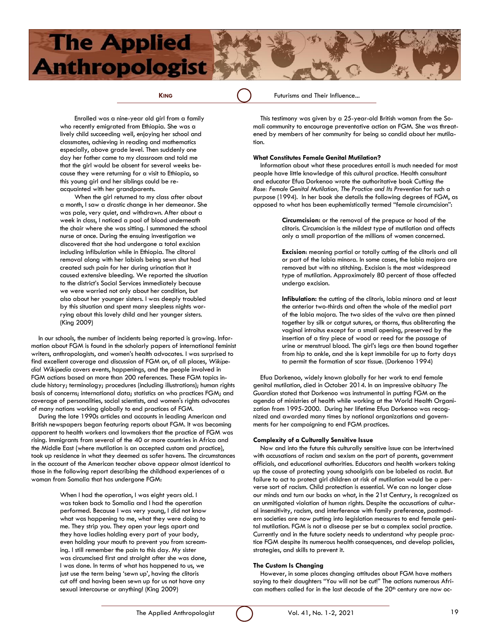**KING** Futurisms and Their Influence...

Enrolled was a nine-year old girl from a family who recently emigrated from Ethiopia. She was a lively child succeeding well, enjoying her school and classmates, achieving in reading and mathematics especially, above grade level. Then suddenly one day her father came to my classroom and told me that the girl would be absent for several weeks because they were returning for a visit to Ethiopia, so this young girl and her siblings could be reacquainted with her grandparents.

When the girl returned to my class after about a month, I saw a drastic change in her demeanor. She was pale, very quiet, and withdrawn. After about a week in class, I noticed a pool of blood underneath the chair where she was sitting. I summoned the school nurse at once. During the ensuing investigation we discovered that she had undergone a total excision including infibulation while in Ethiopia. The clitoral removal along with her labials being sewn shut had created such pain for her during urination that it caused extensive bleeding. We reported the situation to the district's Social Services immediately because we were worried not only about her condition, but also about her younger sisters. I was deeply troubled by this situation and spent many sleepless nights worrying about this lovely child and her younger sisters. (King 2009)

In our schools, the number of incidents being reported is growing. Information about FGM is found in the scholarly papers of international feminist writers, anthropologists, and women's health advocates. I was surprised to find excellent coverage and discussion of FGM on, of all places, *Wikipedia*! *Wikipedia* covers events, happenings, and the people involved in FGM actions based on more than 200 references. These FGM topics include history; terminology; procedures (including illustrations); human rights basis of concerns; international data; statistics on who practices FGM; and coverage of personalities, social scientists, and women's rights advocates of many nations working globally to end practices of FGM.

During the late 1990s articles and accounts in leading American and British newspapers began featuring reports about FGM. It was becoming apparent to health workers and lawmakers that the practice of FGM was rising. Immigrants from several of the 40 or more countries in Africa and the Middle East (where mutilation is an accepted custom and practice), took up residence in what they deemed as safer havens. The circumstances in the account of the American teacher above appear almost identical to those in the following report describing the childhood experiences of a woman from Somalia that has undergone FGM:

> When I had the operation, I was eight years old. I was taken back to Somalia and I had the operation performed. Because I was very young, I did not know what was happening to me, what they were doing to me. They strip you. They open your legs apart and they have ladies holding every part of your body, even holding your mouth to prevent you from screaming. I still remember the pain to this day. My sister was circumcised first and straight after she was done, I was done. In terms of what has happened to us, we just use the term being 'sewn up', having the clitoris cut off and having been sewn up for us not have any sexual intercourse or anything! (King 2009)

This testimony was given by a 25-year-old British woman from the Somali community to encourage preventative action on FGM. She was threatened by members of her community for being so candid about her mutilation.

#### **What Constitutes Female Genital Mutilation?**

Information about what these procedures entail is much needed for most people have little knowledge of this cultural practice. Health consultant and educator Efua Dorkenoo wrote the authoritative book *Cutting the Rose: Female Genital Mutilation, The Practice and Its Prevention* for such a purpose (1994).In her book she details the following degrees of FGM, as opposed to what has been euphemistically termed "female circumcision":

> **Circumcision:** or the removal of the prepuce or hood of the clitoris. Circumcision is the mildest type of mutilation and affects only a small proportion of the millions of women concerned.

**Excision**: meaning partial or totally cutting of the clitoris and all or part of the labia minora. In some cases, the labia majora are removed but with no stitching. Excision is the most widespread type of mutilation. Approximately 80 percent of those affected undergo excision.

**Infibulation:** the cutting of the clitoris, labia minora and at least the anterior two-thirds and often the whole of the medial part of the labia majora. The two sides of the vulva are then pinned together by silk or catgut sutures, or thorns, thus obliterating the vaginal introitus except for a small opening, preserved by the insertion of a tiny piece of wood or reed for the passage of urine or menstrual blood. The girl's legs are then bound together from hip to ankle, and she is kept immobile for up to forty days to permit the formation of scar tissue. (Dorkenoo 1994)

Efua Dorkenoo, widely known globally for her work to end female genital mutilation, died in October 2014. In an impressive obituary *The Guardian* stated that Dorkenoo was instrumental in putting FGM on the agenda of ministries of health while working at the World Health Organization from 1995-2000. During her lifetime Efua Dorkenoo was recognized and awarded many times by national organizations and governments for her campaigning to end FGM practices.

#### **Complexity of a Culturally Sensitive Issue**

Now and into the future this culturally sensitive issue can be intertwined with accusations of racism and sexism on the part of parents, government officials, and educational authorities. Educators and health workers taking up the cause of protecting young schoolgirls can be labeled as racist. But failure to act to protect girl children at risk of mutilation would be a perverse sort of racism. Child protection is essential. We can no longer close our minds and turn our backs on what, in the 21st Century, is recognized as an unmitigated violation of human rights. Despite the accusations of cultural insensitivity, racism, and interference with family preference, postmodern societies are now putting into legislation measures to end female genital mutilation. FGM is not a disease per se but a complex social practice. Currently and in the future society needs to understand why people practice FGM despite its numerous health consequences, and develop policies, strategies, and skills to prevent it.

#### **The Custom Is Changing**

However, in some places changing attitudes about FGM have mothers saying to their daughters "You will not be cut!" The actions numerous African mothers called for in the last decade of the 20<sup>th</sup> century are now oc-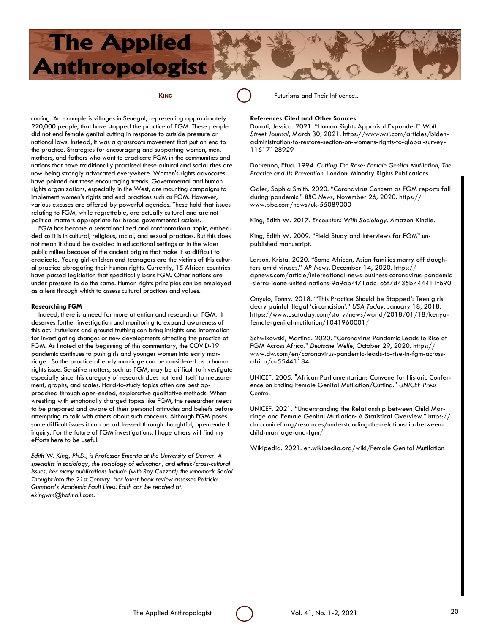**KING** Futurisms and Their Influence...

curring. An example is villages in Senegal, representing approximately 220,000 people, that have stopped the practice of FGM. These people did not end female genital cutting in response to outside pressure or national laws. Instead, it was a grassroots movement that put an end to the practice. Strategies for encouraging and supporting women, men, mothers, and fathers who want to eradicate FGM in the communities and nations that have traditionally practiced these cultural and social rites are now being strongly advocated everywhere. Women's rights advocates have pointed out these encouraging trends. Governmental and human rights organizations, especially in the West, are mounting campaigns to implement women's rights and end practices such as FGM. However, various excuses are offered by powerful agencies. These hold that issues relating to FGM, while regrettable, are actually cultural and are not political matters appropriate for broad governmental actions.

FGM has become a sensationalized and confrontational topic, embedded as it is in cultural, religious, racial, and sexual practices. But this does not mean it should be avoided in educational settings or in the wider public milieu because of the ancient origins that make it so difficult to eradicate. Young girl-children and teenagers are the victims of this cultural practice abrogating their human rights. Currently, 15 African countries have passed legislation that specifically bans FGM. Other nations are under pressure to do the same. Human rights principles can be employed as a lens through which to assess cultural practices and values.

#### **Researching FGM**

Indeed, there is a need for more attention and research on FGM. It deserves further investigation and monitoring to expand awareness of this act. Futurisms and ground truthing can bring insights and information for investigating changes or new developments affecting the practice of FGM. As I noted at the beginning of this commentary, the COVID-19 pandemic continues to push girls and younger women into early marriage. So the practice of early marriage can be considered as a human rights issue. Sensitive matters, such as FGM, may be difficult to investigate especially since this category of research does not lend itself to measurement, graphs, and scales. Hard-to-study topics often are best approached through open-ended, explorative qualitative methods. When wrestling with emotionally charged topics like FGM, the researcher needs to be prepared and aware of their personal attitudes and beliefs before attempting to talk with others about such concerns. Although FGM poses some difficult issues it can be addressed through thoughtful, open-ended inquiry. For the future of FGM investigations, I hope others will find my efforts here to be useful.

*Edith W. King, Ph.D., is Professor Emerita at the University of Denver. A specialist in sociology, the sociology of education, and ethnic/cross-cultural issues, her many publications include (with Ray Cuzzort) the landmark Social Thought into the 21st Century. Her latest book review assesses Patricia Gumport's Academic Fault Lines. Edith can be reached at: ekingwm@hotmail.com.* 

#### **References Cited and Other Sources**

Donati, Jessica. 2021. "Human Rights Appraisal Expanded" *Wall Street Journal*, March 30, 2021. https://www.wsj.com/articles/bidenadministration-to-restore-section-on-womens-rights-to-global-survey-11617128929

Dorkenoo, Efua. 1994. *Cutting The Rose: Female Genital Mutilation, The Practice and Its Prevention.* London: Minority Rights Publications.

Galer, Sophia Smith. 2020. "Coronavirus Concern as FGM reports fall during pandemic." *BBC News*, November 26, 2020. https:// www.bbc.com/news/uk-55089000

King, Edith W. 2017. *Encounters With Sociology.* Amazon-Kindle.

King, Edith W. 2009. "Field Study and Interviews for FGM" unpublished manuscript.

Larson, Krista. 2020. "Some African, Asian families marry off daughters amid viruses." *AP News*, December 14, 2020. https:// apnews.com/article/international-news-business-coronavirus-pandemic -sierra-leone-united-nations-9a9ab4f71adc1c6f7d435b744411fb90

Onyulo, Tonny. 2018. "'This Practice Should be Stopped': Teen girls decry painful illegal 'circumcision'." *USA Today*, January 18, 2018. https://www.usatoday.com/story/news/world/2018/01/18/kenyafemale-genital-mutilation/1041960001/

Schwikowski, Martina. 2020. "Coronavirus Pandemic Leads to Rise of FGM Across Africa." *Deutsche Welle*, October 29, 2020. https:// www.dw.com/en/coronavirus-pandemic-leads-to-rise-in-fgm-acrossafrica/a-55441184

UNICEF. 2005. "African Parliamentarians Convene for Historic Conference on Ending Female Genital Mutilation/Cutting." *UNICEF Press Centre*.

UNICEF. 2021. "Understanding the Relationship between Child Marriage and Female Genital Mutilation: A Statistical Overview." https:// data.unicef.org/resources/understanding-the-relationship-betweenchild-marriage-and-fgm/

Wikipedia. 2021. en.wikipedia.org/wiki/Female Genital Mutilation

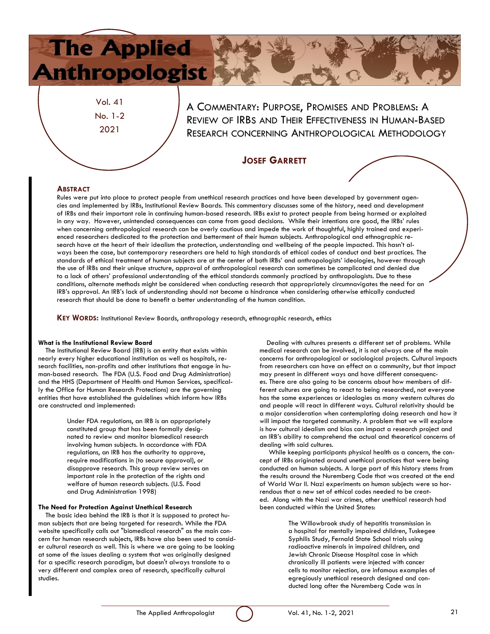Vol. 41 No. 1-2 2021

A COMMENTARY: PURPOSE, PROMISES AND PROBLEMS: A REVIEW OF IRBS AND THEIR EFFECTIVENESS IN HUMAN-BASED RESEARCH CONCERNING ANTHROPOLOGICAL METHODOLOGY

### **JOSEF GARRETT**

### **ABSTRACT**

Rules were put into place to protect people from unethical research practices and have been developed by government agencies and implemented by IRBs, Institutional Review Boards. This commentary discusses some of the history, need and development of IRBs and their important role in continuing human-based research. IRBs exist to protect people from being harmed or exploited in any way. However, unintended consequences can come from good decisions. While their intentions are good, the IRBs' rules when concerning anthropological research can be overly cautious and impede the work of thoughtful, highly trained and experienced researchers dedicated to the protection and betterment of their human subjects. Anthropological and ethnographic research have at the heart of their idealism the protection, understanding and wellbeing of the people impacted. This hasn't always been the case, but contemporary researchers are held to high standards of ethical codes of conduct and best practices. The standards of ethical treatment of human subjects are at the center of both IRBs' and anthropologists' ideologies, however through the use of IRBs and their unique structure, approval of anthropological research can sometimes be complicated and denied due to a lack of others' professional understanding of the ethical standards commonly practiced by anthropologists. Due to these conditions, alternate methods might be considered when conducting research that appropriately circumnavigates the need for an IRB's approval. An IRB's lack of understanding should not become a hindrance when considering otherwise ethically conducted research that should be done to benefit a better understanding of the human condition.

**KEY WORDS:** Institutional Review Boards, anthropology research, ethnographic research, ethics

#### **What is the Institutional Review Board**

The Institutional Review Board (IRB) is an entity that exists within nearly every higher educational institution as well as hospitals, research facilities, non-profits and other institutions that engage in human-based research. The FDA (U.S. Food and Drug Administration) and the HHS (Department of Health and Human Services, specifically the Office for Human Research Protections) are the governing entities that have established the guidelines which inform how IRBs are constructed and implemented:

> Under FDA regulations, an IRB is an appropriately constituted group that has been formally designated to review and monitor biomedical research involving human subjects. In accordance with FDA regulations, an IRB has the authority to approve, require modifications in (to secure approval), or disapprove research. This group review serves an important role in the protection of the rights and welfare of human research subjects. (U.S. Food and Drug Administration 1998)

#### **The Need for Protection Against Unethical Research**

The basic idea behind the IRB is that it is supposed to protect human subjects that are being targeted for research. While the FDA website specifically calls out "biomedical research" as the main concern for human research subjects, IRBs have also been used to consider cultural research as well. This is where we are going to be looking at some of the issues dealing a system that was originally designed for a specific research paradigm, but doesn't always translate to a very different and complex area of research, specifically cultural studies.

Dealing with cultures presents a different set of problems. While medical research can be involved, it is not always one of the main concerns for anthropological or sociological projects. Cultural impacts from researchers can have an effect on a community, but that impact may present in different ways and have different consequences. There are also going to be concerns about how members of different cultures are going to react to being researched, not everyone has the same experiences or ideologies as many western cultures do and people will react in different ways. Cultural relativity should be a major consideration when contemplating doing research and how it will impact the targeted community. A problem that we will explore is how cultural idealism and bias can impact a research project and an IRB's ability to comprehend the actual and theoretical concerns of dealing with said cultures.

While keeping participants physical health as a concern, the concept of IRBs originated around unethical practices that were being conducted on human subjects. A large part of this history stems from the results around the Nuremberg Code that was created at the end of World War II. Nazi experiments on human subjects were so horrendous that a new set of ethical codes needed to be created. Along with the Nazi war crimes, other unethical research had been conducted within the United States:

> The Willowbrook study of hepatitis transmission in a hospital for mentally impaired children, Tuskegee Syphilis Study, Fernald State School trials using radioactive minerals in impaired children, and Jewish Chronic Disease Hospital case in which chronically ill patients were injected with cancer cells to monitor rejection, are infamous examples of egregiously unethical research designed and conducted long after the Nuremberg Code was in

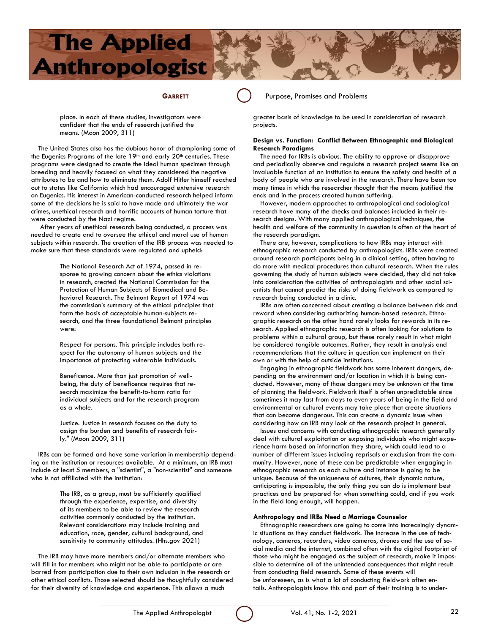

**GARRETT** () Purpose, Promises and Problems

place. In each of these studies, investigators were confident that the ends of research justified the means. (Moon 2009, 311)

The United States also has the dubious honor of championing some of the Eugenics Programs of the late 19th and early 20th centuries. These programs were designed to create the ideal human specimen through breeding and heavily focused on what they considered the negative attributes to be and how to eliminate them. Adolf Hitler himself reached out to states like California which had encouraged extensive research on Eugenics. His interest in American-conducted research helped inform some of the decisions he is said to have made and ultimately the war crimes, unethical research and horrific accounts of human torture that were conducted by the Nazi regime.

After years of unethical research being conducted, a process was needed to create and to oversee the ethical and moral use of human subjects within research. The creation of the IRB process was needed to make sure that these standards were regulated and upheld:

> The National Research Act of 1974, passed in response to growing concern about the ethics violations in research, created the National Commission for the Protection of Human Subjects of Biomedical and Behavioral Research. The Belmont Report of 1974 was the commission's summary of the ethical principles that form the basis of acceptable human-subjects research, and the three foundational Belmont principles were:

Respect for persons. This principle includes both respect for the autonomy of human subjects and the importance of protecting vulnerable individuals.

Beneficence. More than just promotion of wellbeing, the duty of beneficence requires that research maximize the benefit-to-harm ratio for individual subjects and for the research program as a whole.

Justice. Justice in research focuses on the duty to assign the burden and benefits of research fairly." (Moon 2009, 311)

IRBs can be formed and have some variation in membership depending on the institution or resources available. At a minimum, an IRB must include at least 5 members, a "scientist", a "non-scientist" and someone who is not affiliated with the institution:

> The IRB, as a group, must be sufficiently qualified through the experience, expertise, and diversity of its members to be able to review the research activities commonly conducted by the institution. Relevant considerations may include training and education, race, gender, cultural background, and sensitivity to community attitudes. (Hhs.gov 2021)

The IRB may have more members and/or alternate members who will fill in for members who might not be able to participate or are barred from participation due to their own inclusion in the research or other ethical conflicts. Those selected should be thoughtfully considered for their diversity of knowledge and experience. This allows a much

greater basis of knowledge to be used in consideration of research projects.

#### **Design vs. Function: Conflict Between Ethnographic and Biological Research Paradigms**

The need for IRBs is obvious. The ability to approve or disapprove and periodically observe and regulate a research project seems like an invaluable function of an institution to ensure the safety and health of a body of people who are involved in the research. There have been too many times in which the researcher thought that the means justified the ends and in the process created human suffering.

However, modern approaches to anthropological and sociological research have many of the checks and balances included in their research designs. With many applied anthropological techniques, the health and welfare of the community in question is often at the heart of the research paradigm.

There are, however, complications to how IRBs may interact with ethnographic research conducted by anthropologists. IRBs were created around research participants being in a clinical setting, often having to do more with medical procedures than cultural research. When the rules governing the study of human subjects were decided, they did not take into consideration the activities of anthropologists and other social scientists that cannot predict the risks of doing fieldwork as compared to research being conducted in a clinic.

IRBs are often concerned about creating a balance between risk and reward when considering authorizing human-based research. Ethnographic research on the other hand rarely looks for rewards in its research. Applied ethnographic research is often looking for solutions to problems within a cultural group, but these rarely result in what might be considered tangible outcomes. Rather, they result in analysis and recommendations that the culture in question can implement on their own or with the help of outside institutions.

Engaging in ethnographic fieldwork has some inherent dangers, depending on the environment and/or location in which it is being conducted. However, many of those dangers may be unknown at the time of planning the fieldwork. Fieldwork itself is often unpredictable since sometimes it may last from days to even years of being in the field and environmental or cultural events may take place that create situations that can become dangerous. This can create a dynamic issue when considering how an IRB may look at the research project in general.

Issues and concerns with conducting ethnographic research generally deal with cultural exploitation or exposing individuals who might experience harm based on information they share, which could lead to a number of different issues including reprisals or exclusion from the community. However, none of these can be predictable when engaging in ethnographic research as each culture and instance is going to be unique. Because of the uniqueness of cultures, their dynamic nature, anticipating is impossible, the only thing you can do is implement best practices and be prepared for when something could, and if you work in the field long enough, will happen.

#### **Anthropology and IRBs Need a Marriage Counselor**

Ethnographic researchers are going to come into increasingly dynamic situations as they conduct fieldwork. The increase in the use of technology, cameras, recorders, video cameras, drones and the use of social media and the internet, combined often with the digital footprint of those who might be engaged as the subject of research, make it impossible to determine all of the unintended consequences that might result from conducting field research. Some of these events will be unforeseen, as is what a lot of conducting fieldwork often entails. Anthropologists know this and part of their training is to under-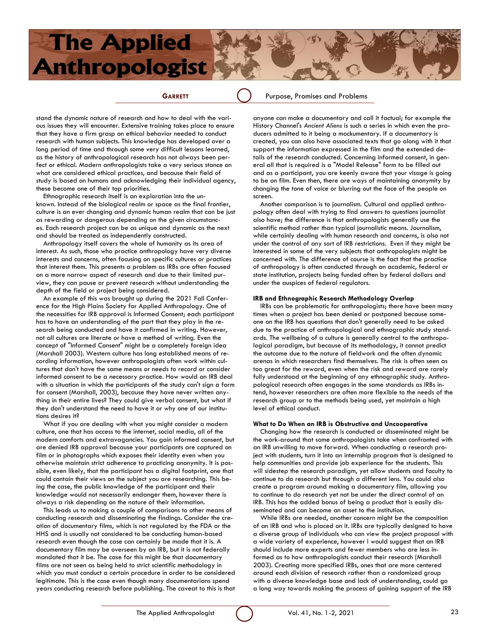# **Anthropologist**

**The Applied** 

**GARRETT** ( ) Purpose, Promises and Problems

stand the dynamic nature of research and how to deal with the various issues they will encounter. Extensive training takes place to ensure that they have a firm grasp on ethical behavior needed to conduct research with human subjects. This knowledge has developed over a long period of time and through some very difficult lessons learned, as the history of anthropological research has not always been perfect or ethical. Modern anthropologists take a very serious stance on what are considered ethical practices, and because their field of study is based on humans and acknowledging their individual agency, these become one of their top priorities.

Ethnographic research itself is an exploration into the unknown. Instead of the biological realm or space as the final frontier, culture is an ever changing and dynamic human realm that can be just as rewarding or dangerous depending on the given circumstances. Each research project can be as unique and dynamic as the next and should be treated as independently constructed.

Anthropology itself covers the whole of humanity as its area of interest. As such, those who practice anthropology have very diverse interests and concerns, often focusing on specific cultures or practices that interest them. This presents a problem as IRBs are often focused on a more narrow aspect of research and due to their limited purview, they can pause or prevent research without understanding the depth of the field or project being considered.

An example of this was brought up during the 2021 Fall Conference for the High Plains Society for Applied Anthropology. One of the necessities for IRB approval is Informed Consent; each participant has to have an understanding of the part that they play in the research being conducted and have it confirmed in writing. However, not all cultures are literate or have a method of writing. Even the concept of "Informed Consent" might be a completely foreign idea (Marshall 2003). Western culture has long established means of recording information, however anthropologists often work within cultures that don't have the same means or needs to record or consider informed consent to be a necessary practice. How would an IRB deal with a situation in which the participants of the study can't sign a form for consent (Marshall, 2003), because they have never written anything in their entire lives? They could give verbal consent, but what if they don't understand the need to have it or why one of our institutions desires it?

What if you are dealing with what you might consider a modern culture, one that has access to the internet, social media, all of the modern comforts and extravagancies. You gain informed consent, but are denied IRB approval because your participants are captured on film or in photographs which exposes their identity even when you otherwise maintain strict adherence to practicing anonymity. It is possible, even likely, that the participant has a digital footprint, one that could contain their views on the subject you are researching. This being the case, the public knowledge of the participant and their knowledge would not necessarily endanger them, however there is always a risk depending on the nature of their information.

This leads us to making a couple of comparisons to other means of conducting research and disseminating the findings. Consider the creation of documentary films, which is not regulated by the FDA or the HHS and is usually not considered to be conducting human-based research even though the case can certainly be made that it is. A documentary film may be overseen by an IRB, but it is not federally mandated that it be. The case for this might be that documentary films are not seen as being held to strict scientific methodology in which you must conduct a certain procedure in order to be considered legitimate. This is the case even though many documentarians spend years conducting research before publishing. The caveat to this is that

anyone can make a documentary and call it factual; for example the History Channel's *Ancient Aliens* is such a series in which even the producers admitted to it being a mockumentary. If a documentary is created, you can also have associated texts that go along with it that support the information expressed in the film and the extended details of the research conducted. Concerning informed consent, in general all that is required is a "Model Release" form to be filled out and as a participant, you are keenly aware that your visage is going to be on film. Even then, there are ways of maintaining anonymity by changing the tone of voice or blurring out the face of the people on screen.

Another comparison is to journalism. Cultural and applied anthropology often deal with trying to find answers to questions journalist also have; the difference is that anthropologists generally use the scientific method rather than typical journalistic means. Journalism, while certainly dealing with human research and concerns, is also not under the control of any sort of IRB restrictions. Even if they might be interested in some of the very subjects that anthropologists might be concerned with. The difference of course is the fact that the practice of anthropology is often conducted through an academic, federal or state institution, projects being funded often by federal dollars and under the auspices of federal regulators.

#### **IRB and Ethnographic Research Methodology Overlap**

IRBs can be problematic for anthropologists; there have been many times when a project has been denied or postponed because someone on the IRB has questions that don't generally need to be asked due to the practice of anthropological and ethnographic study standards. The wellbeing of a culture is generally central to the anthropological paradigm, but because of its methodology, it cannot predict the outcome due to the nature of fieldwork and the often dynamic arenas in which researchers find themselves. The risk is often seen as too great for the reward, even when the risk and reward are rarely fully understood at the beginning of any ethnographic study. Anthropological research often engages in the same standards as IRBs intend, however researchers are often more flexible to the needs of the research group or to the methods being used, yet maintain a high level of ethical conduct.

#### **What to Do When an IRB is Obstructive and Uncooperative**

Changing how the research is conducted or disseminated might be the work-around that some anthropologists take when confronted with an IRB unwilling to move forward. When conducting a research project with students, turn it into an internship program that is designed to help communities and provide job experience for the students. This will sidestep the research paradigm, yet allow students and faculty to continue to do research but through a different lens. You could also create a program around making a documentary film, allowing you to continue to do research yet not be under the direct control of an IRB. This has the added bonus of being a product that is easily disseminated and can become an asset to the institution.

While IRBs are needed, another concern might be the composition of an IRB and who is placed on it. IRBs are typically designed to have a diverse group of individuals who can view the project proposal with a wide variety of experience, however I would suggest that an IRB should include more experts and fewer members who are less informed as to how anthropologists conduct their research (Marshall 2003). Creating more specified IRBs, ones that are more centered around each division of research rather than a randomized group with a diverse knowledge base and lack of understanding, could go a long way towards making the process of gaining support of the IRB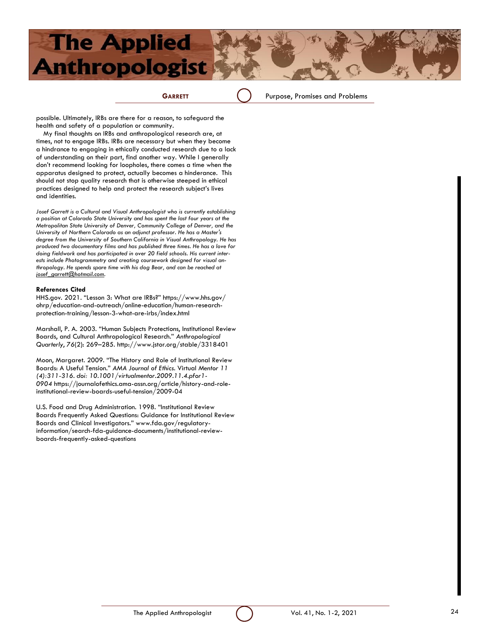**GARRETT** () Purpose, Promises and Problems

possible. Ultimately, IRBs are there for a reason, to safeguard the health and safety of a population or community.

My final thoughts on IRBs and anthropological research are, at times, not to engage IRBs. IRBs are necessary but when they become a hindrance to engaging in ethically conducted research due to a lack of understanding on their part, find another way. While I generally don't recommend looking for loopholes, there comes a time when the apparatus designed to protect, actually becomes a hinderance. This should not stop quality research that is otherwise steeped in ethical practices designed to help and protect the research subject's lives and identities.

Josef Garrett is a Cultural and Visual Anthropologist who is currently establishing *a position at Colorado State University and has spent the last four years at the Metropolitan State University of Denver, Community College of Denver, and the University of Northern Colorado as an adjunct professor. He has a Master's degree from the University of Southern California in Visual Anthropology. He has produced two documentary films and has published three times. He has a love for doing fieldwork and has participated in over 20 field schools. His current interests include Photogrammetry and creating coursework designed for visual anthropology. He spends spare time with his dog Bear, and can be reached at josef\_garrett@hotmail.com.*

#### **References Cited**

HHS.gov. 2021. "Lesson 3: What are IRBs?" https://www.hhs.gov/ ohrp/education-and-outreach/online-education/human-researchprotection-training/lesson-3-what-are-irbs/index.html

Marshall, P. A. 2003. "Human Subjects Protections, Institutional Review Boards, and Cultural Anthropological Research." *Anthropological Quarterly*, *76*(2): 269–285. http://www.jstor.org/stable/3318401

Moon, Margaret. 2009. "The History and Role of Institutional Review Boards: A Useful Tension." *AMA Journal of Ethics.* Virtual *Mentor 11 (4):311-316. doi: 10.1001/virtualmentor.2009.11.4.pfor1- 0904* https://journalofethics.ama-assn.org/article/history-and-roleinstitutional-review-boards-useful-tension/2009-04

U.S. Food and Drug Administration. 1998. "Institutional Review Boards Frequently Asked Questions: Guidance for Institutional Review Boards and Clinical Investigators." www.fda.gov/regulatoryinformation/search-fda-guidance-documents/institutional-reviewboards-frequently-asked-questions

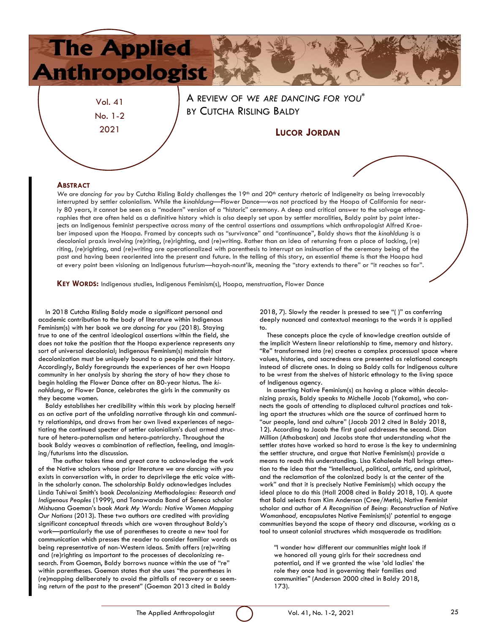

Vol. 41 No. 1-2 2021

A REVIEW OF *WE ARE DANCING FOR YOU\** BY CUTCHA RISLING BALDY

### **LUCOR JORDAN**

#### **ABSTRACT**

We are dancing for you by Cutcha Risling Baldy challenges the 19<sup>th</sup> and 20<sup>th</sup> century rhetoric of Indigeneity as being irrevocably interrupted by settler colonialism. While the *kinahldung*—Flower Dance—was not practiced by the Hoopa of California for nearly 80 years, it cannot be seen as a "modern" version of a "historic" ceremony. A deep and critical answer to the salvage ethnographies that are often held as a definitive history which is also deeply set upon by settler moralities, Baldy point by point interjects an Indigenous feminist perspective across many of the central assertions and assumptions which anthropologist Alfred Kroeber imposed upon the Hoopa. Framed by concepts such as "survivance" and "continuance", Baldy shows that the *kinahldung* is a decolonial praxis involving (re)riting, (re)righting, and (re)writing. Rather than an idea of returning from a place of lacking, (re) riting, (re)righting, and (re)writing are operationalized with parenthesis to interrupt an insinuation of the ceremony being of the past and having been reoriented into the present and future. In the telling of this story, an essential theme is that the Hoopa had at every point been visioning an Indigenous futurism—hayah-no:nt'ik, meaning the "story extends to there" or "it reaches so far".

**KEY WORDS:** Indigenous studies, Indigenous Feminism(s), Hoopa, menstruation, Flower Dance

In 2018 Cutcha Risling Baldy made a significant personal and academic contribution to the body of literature within Indigenous Feminism(s) with her book *we are dancing for you* (2018). Staying true to one of the central ideological assertions within the field, she does not take the position that the Hoopa experience represents any sort of universal decolonial; Indigenous Feminism(s) maintain that decolonization must be uniquely bound to a people and their history. Accordingly, Baldy foregrounds the experiences of her own Hoopa community in her analysis by sharing the story of how they chose to begin holding the Flower Dance after an 80-year hiatus. The *kinahldung*, or Flower Dance*,* celebrates the girls in the community as they become women.

Baldy establishes her credibility within this work by placing herself as an active part of the unfolding narrative through kin and community relationships, and draws from her own lived experiences of negotiating the continued specter of settler colonialism's dual armed structure of hetero-paternalism and hetero-patriarchy. Throughout the book Baldy weaves a combination of reflection, feeling, and imagining/futurisms into the discussion.

The author takes time and great care to acknowledge the work of the Native scholars whose prior literature *we are dancing with you* exists in conversation with, in order to deprivilege the etic voice within the scholarly canon. The scholarship Baldy acknowledges includes Linda Tuhiwai Smith's book *Decolonizing Methodologies: Research and Indigenous Peoples* (1999), and Tonawanda Band of Seneca scholar Mishuana Goeman's book *Mark My Words: Native Women Mapping Our Nations* (2013). These two authors are credited with providing significant conceptual threads which are woven throughout Baldy's work—particularly the use of parentheses to create a new tool for communication which presses the reader to consider familiar words as being representative of non-Western ideas. Smith offers (re)writing and (re)righting as important to the processes of decolonizing research. From Goeman, Baldy borrows nuance within the use of "re" within parentheses. Goeman states that she uses "the parentheses in (re)mapping deliberately to avoid the pitfalls of recovery or a seeming return of the past to the present" (Goeman 2013 cited in Baldy

2018, 7). Slowly the reader is pressed to see "( )" as conferring deeply nuanced and contextual meanings to the words it is applied to.

These concepts place the cycle of knowledge creation outside of the implicit Western linear relationship to time, memory and history. "Re" transformed into (re) creates a complex processual space where values, histories, and sacredness are presented as relational concepts instead of discrete ones. In doing so Baldy calls for Indigenous culture to be wrest from the shelves of historic ethnology to the living space of Indigenous agency.

In asserting Native Feminism(s) as having a place within decolonizing praxis, Baldy speaks to Michelle Jacob (Yakama), who connects the goals of attending to displaced cultural practices and taking apart the structures which are the source of continued harm to "our people, land and culture" (Jacob 2012 cited in Baldy 2018, 12). According to Jacob the first goal addresses the second. Dian Million (Athabaskan) and Jacobs state that understanding what the settler states have worked so hard to erase is the key to undermining the settler structure, and argue that Native Feminism(s) provide a means to reach this understanding. Lisa Kahaleole Hall brings attention to the idea that the "intellectual, political, artistic, and spiritual, and the reclamation of the colonized body is at the center of the work" and that it is precisely Native Feminism(s) which occupy the ideal place to do this (Hall 2008 cited in Baldy 2018, 10). A quote that Bald selects from Kim Anderson (Cree/Metis), Native Feminist scholar and author of *A Recognition of Being: Reconstruction of Native Womanhood,* encapsulates Native Feminism(s)' potential to engage communities beyond the scope of theory and discourse, working as a tool to unseat colonial structures which masquerade as tradition:

*"*I wonder how different our communities might look if we honored all young girls for their sacredness and potential, and if we granted the wise 'old ladies' the role they once had in governing their families and communities*"* (Anderson 2000 cited in Baldy 2018, 173)*.*

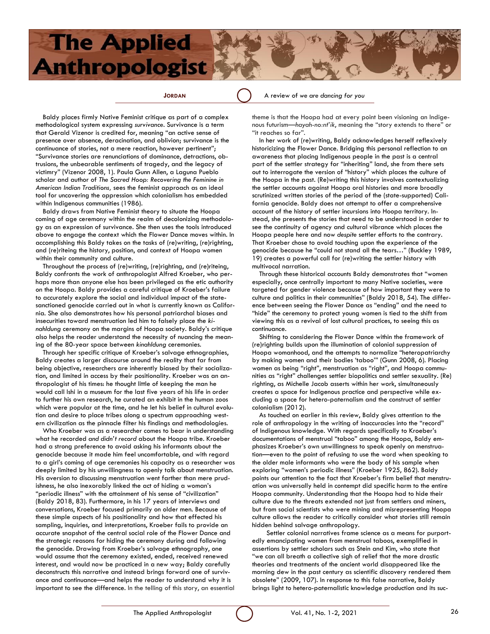**JORDAN A** review of we are dancing for you

Baldy places firmly Native Feminist critique as part of a complex methodological system expressing *survivance*. Survivance is a term that Gerald Vizenor is credited for, meaning "an active sense of presence over absence, deracination, and oblivion; survivance is the continuance of stories, not a mere reaction, however pertinent"; "Survivance stories are renunciations of dominance, detractions, obtrusions, the unbearable sentiments of tragedy, and the legacy of victimry" (Vizenor 2008, 1). Paula Gunn Allen, a Laguna Pueblo scholar and author of *The Sacred Hoop: Recovering the Feminine in American Indian Traditions,* sees the feminist approach as an ideal tool for uncovering the oppression which colonialism has embedded within Indigenous communities (1986).

Baldy draws from Native Feminist theory to situate the Hoopa coming of age ceremony within the realm of decolonizing methodology as an expression of survivance. She then uses the tools introduced above to engage the context which the Flower Dance moves within. In accomplishing this Baldy takes on the tasks of (re)writing, (re)righting, and (re)riteing the history, position, and context of Hoopa women within their community and culture.

Throughout the process of (re)writing, (re)righting, and (re)riteing, Baldy confronts the work of anthropologist Alfred Kroeber, who perhaps more than anyone else has been privileged as the etic authority on the Hoopa. Baldy provides a careful critique of Kroeber's failure to accurately explore the social and individual impact of the statesanctioned genocide carried out in what is currently known as California. She also demonstrates how his personal patriarchal biases and insecurities toward menstruation led him to falsely place the *kinahldung* ceremony on the margins of Hoopa society. Baldy's critique also helps the reader understand the necessity of nuancing the meaning of the 80-year space between *kinahldung* ceremonies.

Through her specific critique of Kroeber's salvage ethnographies, Baldy creates a larger discourse around the reality that far from being objective, researchers are inherently biased by their socialization, and limited in access by their positionality. Kroeber was an anthropologist of his times: he thought little of keeping the man he would call Ishi in a museum for the last five years of his life in order to further his own research, he curated an exhibit in the human zoos which were popular at the time, and he let his belief in cultural evolution and desire to place tribes along a spectrum approaching western civilization as the pinnacle filter his findings and methodologies.

Who Kroeber was as a researcher comes to bear in understanding what he recorded *and didn't record* about the Hoopa tribe. Kroeber had a strong preference to avoid asking his informants about the genocide because it made him feel uncomfortable, and with regard to a girl's coming of age ceremonies his capacity as a researcher was deeply limited by his unwillingness to openly talk about menstruation. His aversion to discussing menstruation went farther than mere prudishness, he also inexorably linked the act of hiding a woman's "periodic illness" with the attainment of his sense of "civilization" (Baldy 2018, 83). Furthermore, in his 17 years of interviews and conversations, Kroeber focused primarily on older men. Because of these simple aspects of his positionality and how that effected his sampling, inquiries, and interpretations, Kroeber fails to provide an accurate snapshot of the central social role of the Flower Dance and the strategic reasons for hiding the ceremony during and following the genocide. Drawing from Kroeber's salvage ethnography, one would assume that the ceremony existed, ended, received renewed interest, and would now be practiced in a new way; Baldy carefully deconstructs this narrative and instead brings forward one of survivance and continuance—and helps the reader to understand why it is important to see the difference. In the telling of this story, an essential theme is that the Hoopa had at every point been visioning an Indigenous futurism—*hayah-no:nt'ik*, meaning the "story extends to there" or "it reaches so far".

In her work of (re)writing, Baldy acknowledges herself reflexively historicizing the Flower Dance. Bridging this personal reflection to an awareness that placing Indigenous people in the past is a central part of the settler strategy for "inheriting" land, she from there sets out to interrogate the version of "history" which places the culture of the Hoopa in the past. (Re)writing this history involves contextualizing the settler accounts against Hoopa oral histories and more broadly scrutinized written stories of the period of the (state-supported) California genocide. Baldy does not attempt to offer a comprehensive account of the history of settler incursions into Hoopa territory. Instead, she presents the stories that need to be understood in order to see the continuity of agency and cultural vibrance which places the Hoopa people here and now *despite* settler efforts to the contrary. That Kroeber chose to avoid touching upon the experience of the genocide because he "could not stand all the tears…" (Buckley 1989, 19) creates a powerful call for (re)writing the settler history with multivocal narration.

Through these historical accounts Baldy demonstrates that "women especially, once centrally important to many Native societies, were targeted for gender violence because of how important they were to culture and politics in their communities" (Baldy 2018, 54). The difference between seeing the Flower Dance as "ending" and the need to "hide" the ceremony to protect young women is tied to the shift from viewing this as a revival of lost cultural practices, to seeing this as continuance.

Shifting to considering the Flower Dance within the framework of (re)righting builds upon the illumination of colonial suppression of Hoopa womanhood, and the attempts to normalize "heteropatriarchy by making women and their bodies 'taboo'" (Gunn 2008, 6). Placing women as being "right", menstruation as "right", and Hoopa communities as "right" challenges settler biopolitics and settler sexuality. (Re) righting, as Michelle Jacob asserts within her work, simultaneously creates a space for Indigenous practice and perspective while excluding a space for hetero-paternalism and the construct of settler colonialism (2012).

As touched on earlier in this review, Baldy gives attention to the role of anthropology in the writing of inaccuracies into the "record" of Indigenous knowledge. With regards specifically to Kroeber's documentations of menstrual "taboo" among the Hoopa, Baldy emphasizes Kroeber's own unwillingness to speak openly on menstruation—even to the point of refusing to use the word when speaking to the older male informants who were the body of his sample when exploring "women's periodic illness" (Kroeber 1925, 862). Baldy points our attention to the fact that Kroeber's firm belief that menstruation was universally held in contempt did specific harm to the entire Hoopa community. Understanding that the Hoopa had to hide their culture due to the threats extended not just from settlers and miners, but from social scientists who were mining and misrepresenting Hoopa culture allows the reader to critically consider what stories still remain hidden behind salvage anthropology.

Settler colonial narratives frame science as a means for purportedly emancipating women from menstrual taboos, exemplified in assertions by settler scholars such as Stein and Kim, who state that "we can all breath a collective sigh of relief that the more drastic theories and treatments of the ancient world disappeared like the morning dew in the past century as scientific discovery rendered them obsolete" (2009, 107). In response to this false narrative, Baldy brings light to hetero-paternalistic knowledge production and its suc-